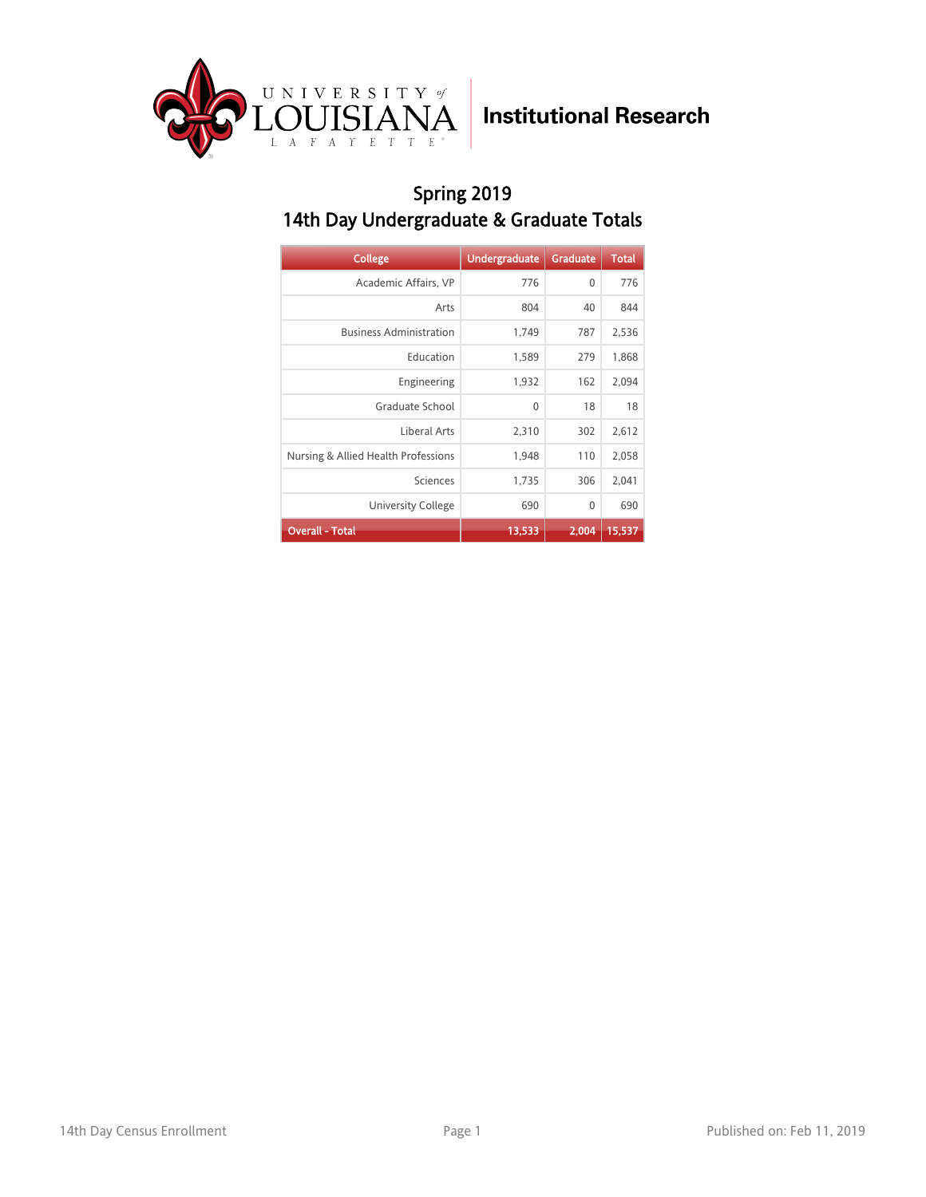

### Spring 2019 14th Day Undergraduate & Graduate Totals

| <b>College</b>                      | <b>Undergraduate</b> | <b>Graduate</b> | <b>Total</b> |
|-------------------------------------|----------------------|-----------------|--------------|
| Academic Affairs, VP                | 776                  | $\mathbf{0}$    | 776          |
| Arts                                | 804                  | 40              | 844          |
| <b>Business Administration</b>      | 1,749                | 787             | 2,536        |
| Education                           | 1,589                | 279             | 1,868        |
| Engineering                         | 1,932                | 162             | 2,094        |
| Graduate School                     | 0                    | 18              | 18           |
| Liberal Arts                        | 2,310                | 302             | 2,612        |
| Nursing & Allied Health Professions | 1,948                | 110             | 2,058        |
| Sciences                            | 1,735                | 306             | 2,041        |
| University College                  | 690                  | 0               | 690          |
| <b>Overall - Total</b>              | 13,533               | 2.004           | 15,537       |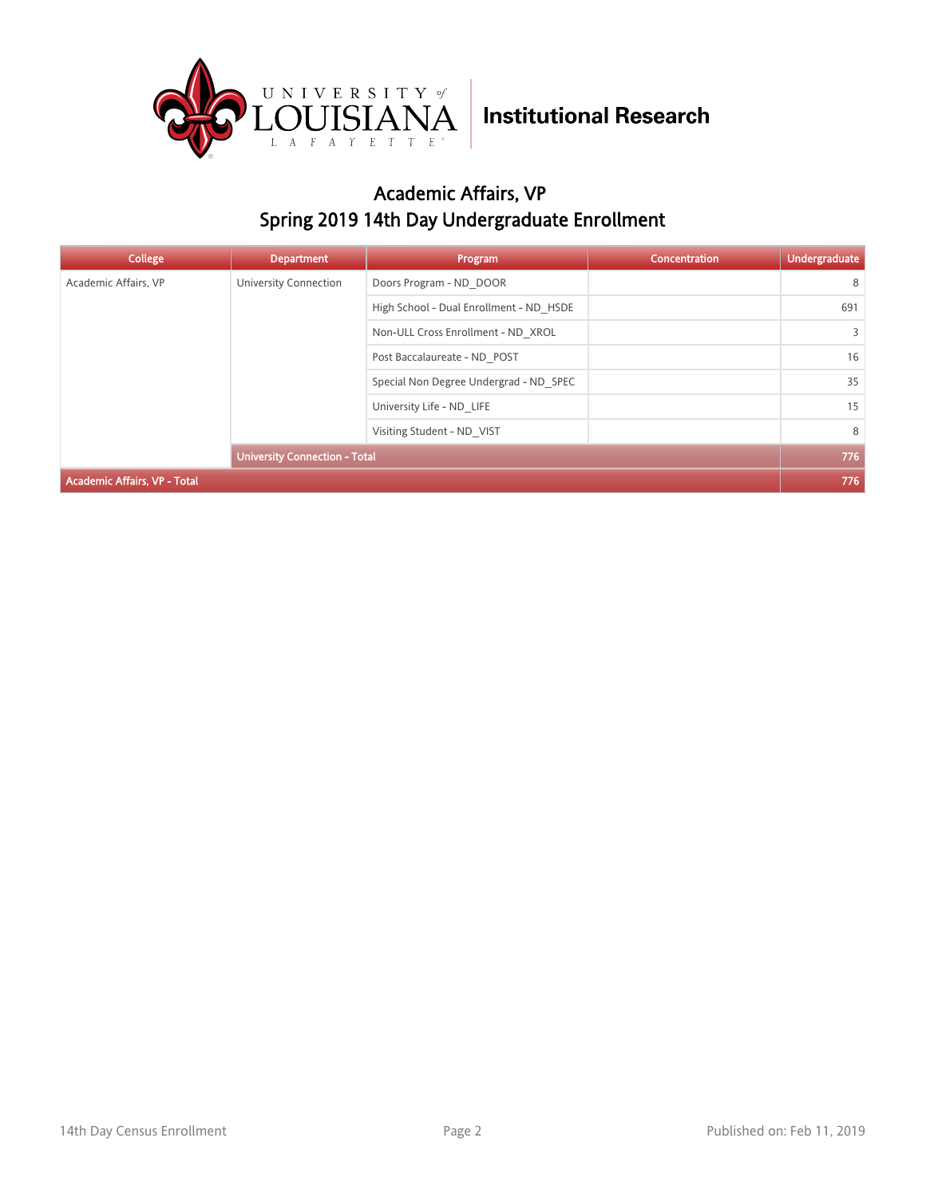

### Academic Affairs, VP Spring 2019 14th Day Undergraduate Enrollment

| College                              | <b>Department</b>                  | Program                                 | Concentration | Undergraduate |
|--------------------------------------|------------------------------------|-----------------------------------------|---------------|---------------|
| Academic Affairs, VP                 | University Connection              | Doors Program - ND DOOR                 |               | 8             |
|                                      |                                    | High School - Dual Enrollment - ND HSDE |               | 691           |
|                                      | Non-ULL Cross Enrollment - ND XROL |                                         | 3             |               |
|                                      |                                    | Post Baccalaureate - ND POST            |               | 16            |
|                                      |                                    | Special Non Degree Undergrad - ND SPEC  |               | 35            |
|                                      | University Life - ND LIFE          |                                         | 15            |               |
|                                      | Visiting Student - ND VIST         |                                         | 8             |               |
| <b>University Connection - Total</b> |                                    |                                         | 776           |               |
| <b>Academic Affairs, VP - Total</b>  |                                    |                                         |               | 776           |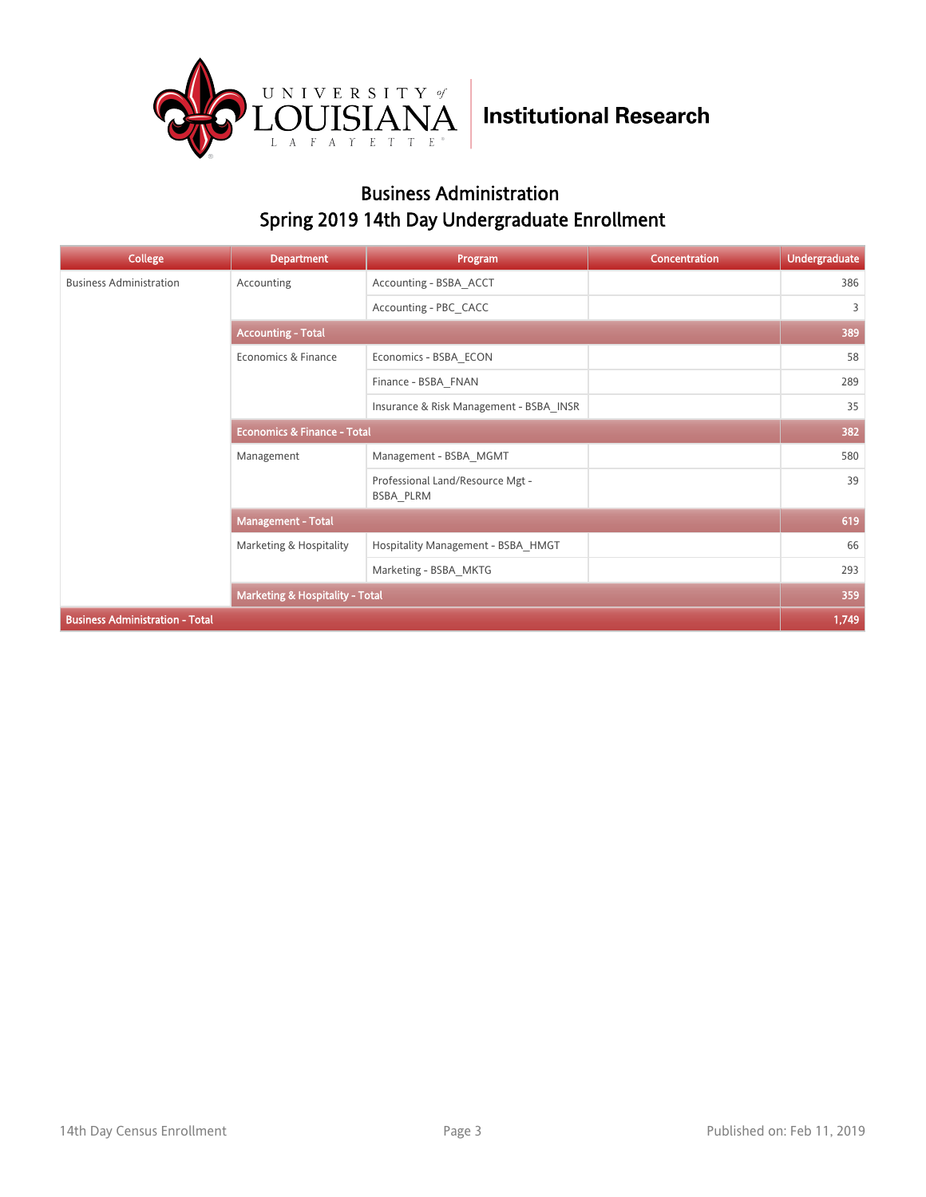

### Business Administration Spring 2019 14th Day Undergraduate Enrollment

| <b>College</b>                         | <b>Department</b>                          | Program                                       | <b>Concentration</b> | <b>Undergraduate</b> |
|----------------------------------------|--------------------------------------------|-----------------------------------------------|----------------------|----------------------|
| <b>Business Administration</b>         | Accounting                                 | Accounting - BSBA ACCT                        |                      | 386                  |
|                                        |                                            | Accounting - PBC CACC                         |                      | 3                    |
|                                        | <b>Accounting - Total</b>                  |                                               |                      | 389                  |
|                                        | Economics & Finance                        | Economics - BSBA ECON                         |                      | 58                   |
|                                        |                                            | Finance - BSBA FNAN                           |                      | 289                  |
|                                        |                                            | Insurance & Risk Management - BSBA INSR       |                      | 35                   |
|                                        | <b>Economics &amp; Finance - Total</b>     |                                               |                      | 382                  |
|                                        | Management                                 | Management - BSBA MGMT                        |                      | 580                  |
|                                        |                                            | Professional Land/Resource Mgt -<br>BSBA PLRM |                      | 39                   |
|                                        | <b>Management - Total</b>                  |                                               |                      | 619                  |
|                                        | Marketing & Hospitality                    | Hospitality Management - BSBA HMGT            |                      | 66                   |
|                                        |                                            | Marketing - BSBA MKTG                         |                      | 293                  |
|                                        | <b>Marketing &amp; Hospitality - Total</b> |                                               |                      | 359                  |
| <b>Business Administration - Total</b> |                                            |                                               |                      | 1,749                |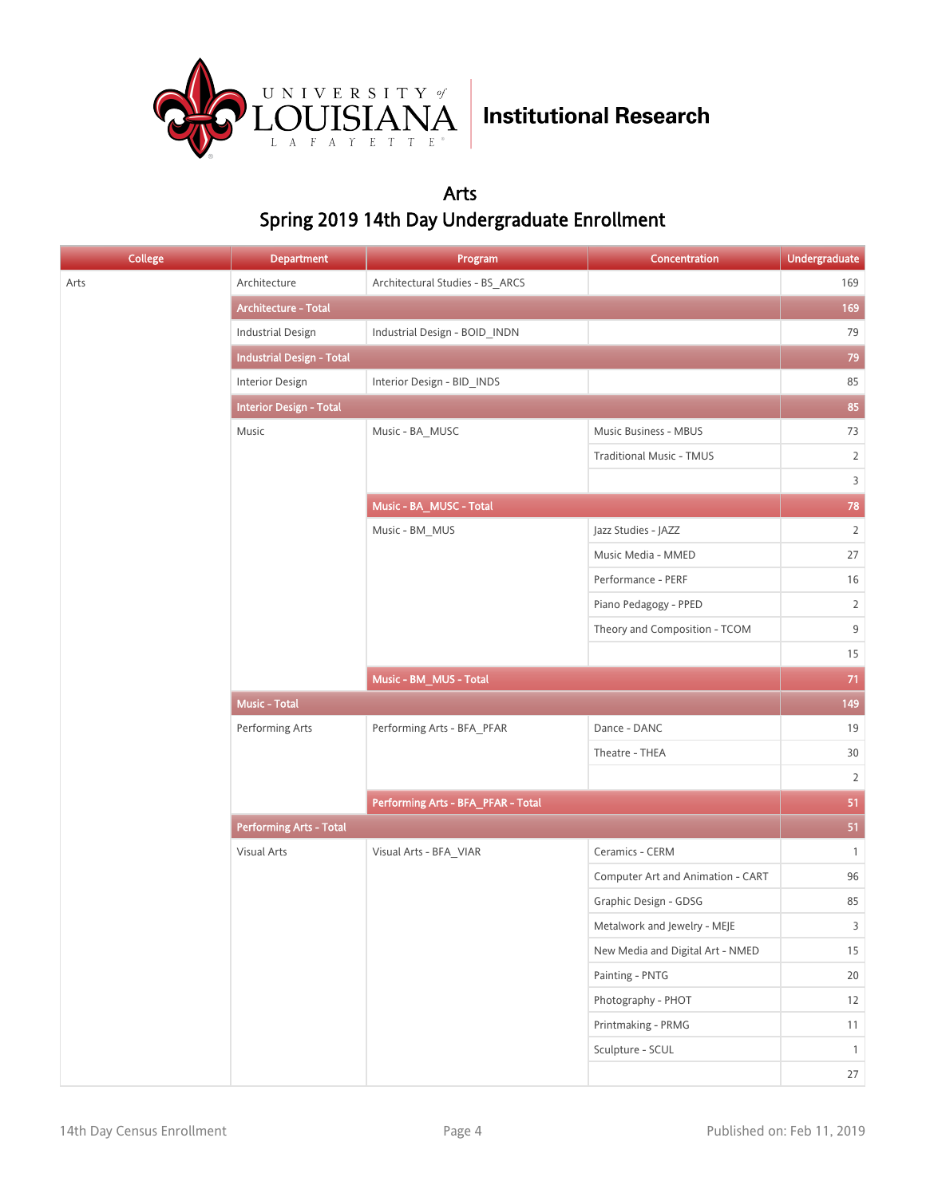

### Arts Spring 2019 14th Day Undergraduate Enrollment

| <b>College</b> | <b>Department</b>                | Program                            | Concentration                     | Undergraduate  |
|----------------|----------------------------------|------------------------------------|-----------------------------------|----------------|
| Arts           | Architecture                     | Architectural Studies - BS_ARCS    |                                   | 169            |
|                | Architecture - Total             |                                    |                                   | 169            |
|                | <b>Industrial Design</b>         | Industrial Design - BOID_INDN      |                                   | 79             |
|                | <b>Industrial Design - Total</b> |                                    |                                   | 79             |
|                | Interior Design                  | Interior Design - BID_INDS         |                                   | 85             |
|                | <b>Interior Design - Total</b>   |                                    |                                   | 85             |
|                | Music                            | Music - BA_MUSC                    | Music Business - MBUS             | 73             |
|                |                                  |                                    | <b>Traditional Music - TMUS</b>   | $\overline{2}$ |
|                |                                  |                                    |                                   | $\overline{3}$ |
|                |                                  | Music - BA_MUSC - Total            |                                   | 78             |
|                |                                  | Music - BM_MUS                     | Jazz Studies - JAZZ               | $\overline{2}$ |
|                |                                  |                                    | Music Media - MMED                | 27             |
|                |                                  |                                    | Performance - PERF                | 16             |
|                |                                  |                                    | Piano Pedagogy - PPED             | $\overline{2}$ |
|                |                                  |                                    | Theory and Composition - TCOM     | $\mathsf 9$    |
|                |                                  |                                    |                                   | 15             |
|                |                                  | Music - BM_MUS - Total             |                                   | $71$           |
|                | <b>Music - Total</b>             |                                    |                                   | 149            |
|                | Performing Arts                  | Performing Arts - BFA_PFAR         | Dance - DANC                      | 19             |
|                |                                  |                                    | Theatre - THEA                    | 30             |
|                |                                  |                                    |                                   | $\overline{2}$ |
|                |                                  | Performing Arts - BFA_PFAR - Total |                                   | 51             |
|                | <b>Performing Arts - Total</b>   |                                    |                                   | 51             |
|                | Visual Arts                      | Visual Arts - BFA_VIAR             | Ceramics - CERM                   | $\mathbf{1}$   |
|                |                                  |                                    | Computer Art and Animation - CART | $96\,$         |
|                |                                  |                                    | Graphic Design - GDSG             | 85             |
|                |                                  |                                    | Metalwork and Jewelry - MEJE      | $\overline{3}$ |
|                |                                  |                                    | New Media and Digital Art - NMED  | 15             |
|                |                                  |                                    | Painting - PNTG                   | $20\,$         |
|                |                                  |                                    | Photography - PHOT                | 12             |
|                |                                  |                                    | Printmaking - PRMG                | 11             |
|                |                                  |                                    | Sculpture - SCUL                  | $\mathbf{1}$   |
|                |                                  |                                    |                                   | $27\,$         |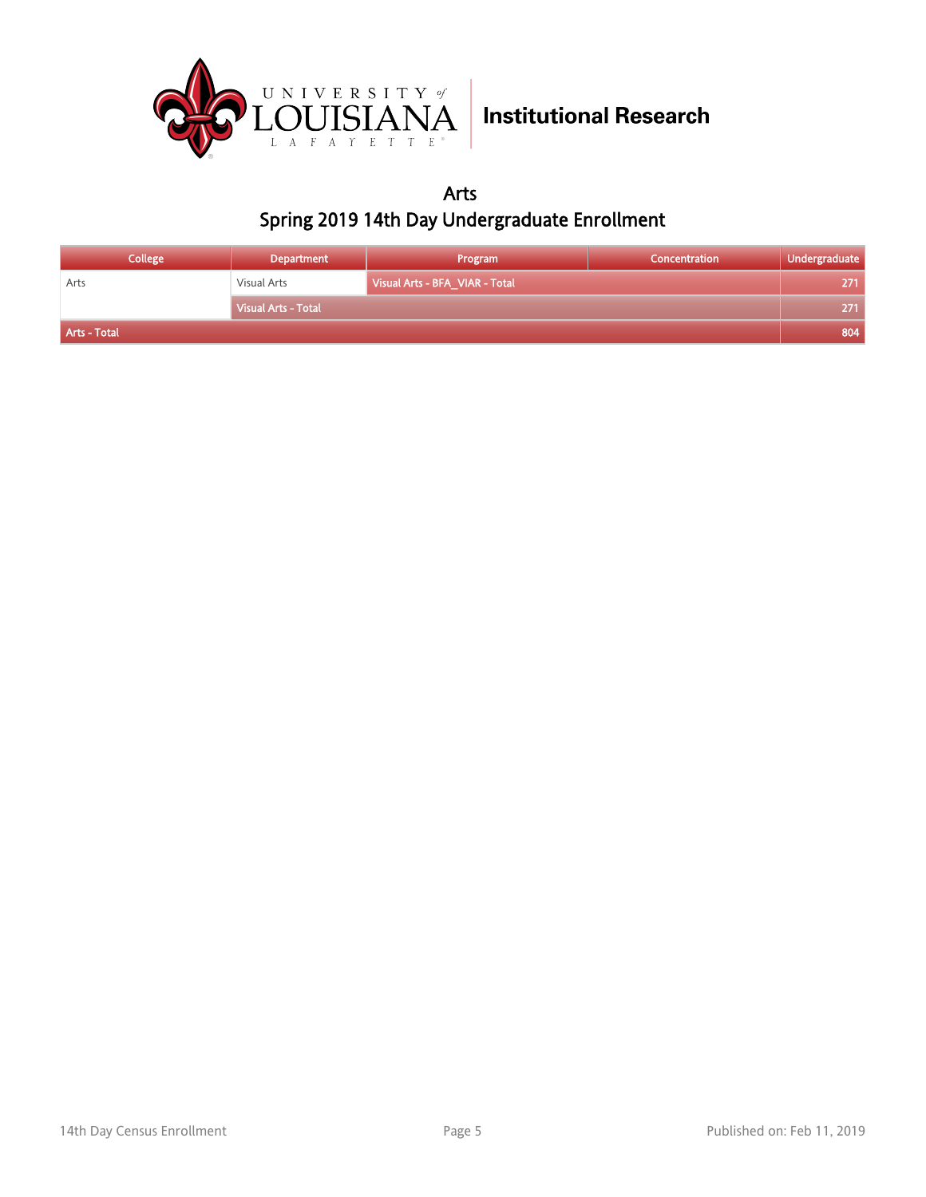

Arts Spring 2019 14th Day Undergraduate Enrollment

| <b>College</b> | Department          | Program                        | <b>Concentration</b> | Undergraduate |
|----------------|---------------------|--------------------------------|----------------------|---------------|
| Arts           | Visual Arts         | Visual Arts - BFA_VIAR - Total |                      | 271           |
|                | Visual Arts - Total |                                |                      | 271           |
| Arts - Total   |                     |                                |                      | 804           |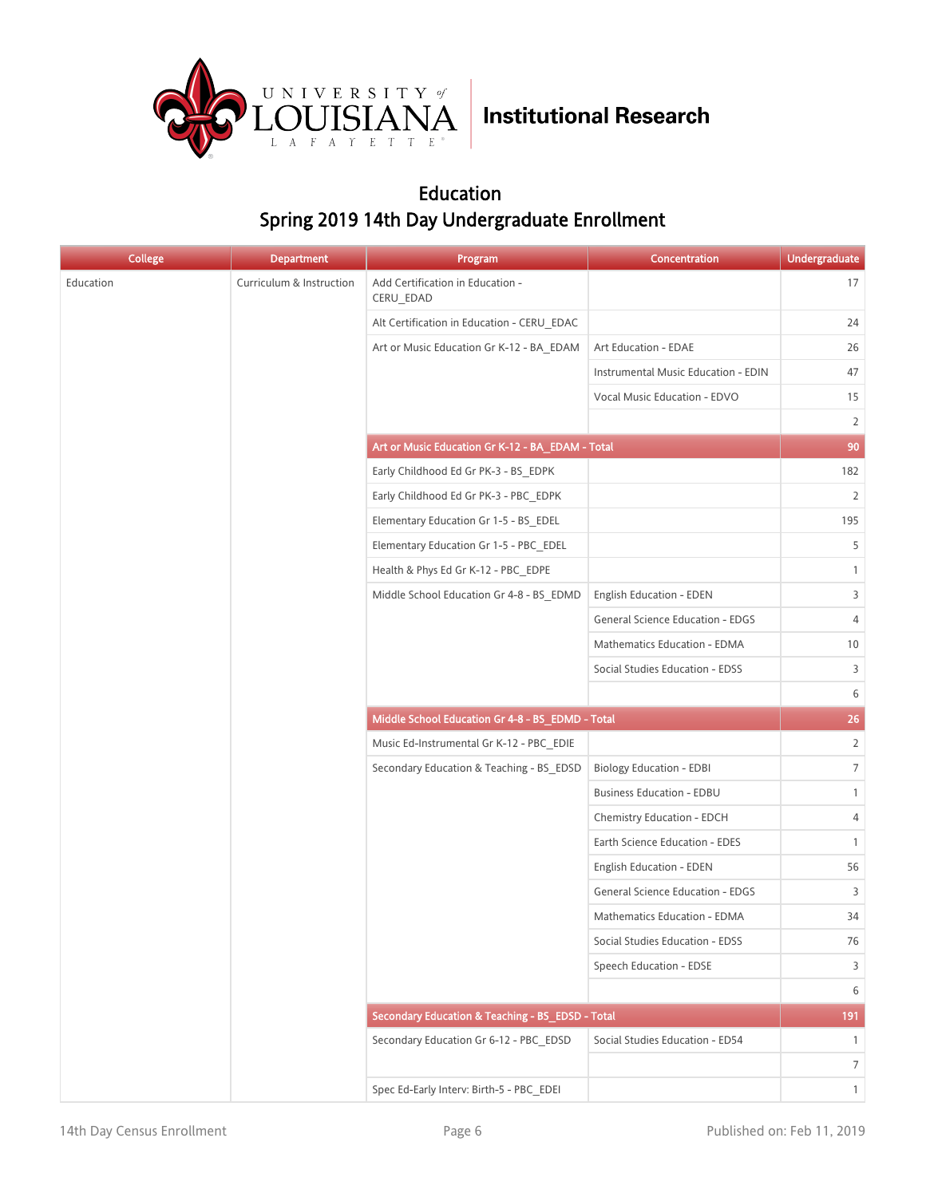

### Education Spring 2019 14th Day Undergraduate Enrollment

| <b>College</b> | <b>Department</b>        | Program                                          | Concentration                           | <b>Undergraduate</b> |
|----------------|--------------------------|--------------------------------------------------|-----------------------------------------|----------------------|
| Education      | Curriculum & Instruction | Add Certification in Education -<br>CERU_EDAD    |                                         | 17                   |
|                |                          | Alt Certification in Education - CERU EDAC       |                                         | 24                   |
|                |                          | Art or Music Education Gr K-12 - BA EDAM         | Art Education - EDAE                    | 26                   |
|                |                          |                                                  | Instrumental Music Education - EDIN     | 47                   |
|                |                          |                                                  | Vocal Music Education - EDVO            | 15                   |
|                |                          |                                                  |                                         | $\overline{2}$       |
|                |                          | Art or Music Education Gr K-12 - BA_EDAM - Total |                                         | 90                   |
|                |                          | Early Childhood Ed Gr PK-3 - BS_EDPK             |                                         | 182                  |
|                |                          | Early Childhood Ed Gr PK-3 - PBC EDPK            |                                         | $\overline{2}$       |
|                |                          | Elementary Education Gr 1-5 - BS_EDEL            |                                         | 195                  |
|                |                          | Elementary Education Gr 1-5 - PBC EDEL           |                                         | 5                    |
|                |                          | Health & Phys Ed Gr K-12 - PBC EDPE              |                                         | $\mathbf{1}$         |
|                |                          | Middle School Education Gr 4-8 - BS_EDMD         | <b>English Education - EDEN</b>         | 3                    |
|                |                          |                                                  | <b>General Science Education - EDGS</b> | $\overline{4}$       |
|                |                          |                                                  | Mathematics Education - EDMA            | 10                   |
|                |                          |                                                  | Social Studies Education - EDSS         | 3                    |
|                |                          |                                                  |                                         | 6                    |
|                |                          | Middle School Education Gr 4-8 - BS_EDMD - Total |                                         | 26                   |
|                |                          | Music Ed-Instrumental Gr K-12 - PBC EDIE         |                                         | $\overline{2}$       |
|                |                          | Secondary Education & Teaching - BS EDSD         | <b>Biology Education - EDBI</b>         | $\overline{7}$       |
|                |                          |                                                  | <b>Business Education - EDBU</b>        | $\mathbf{1}$         |
|                |                          |                                                  | Chemistry Education - EDCH              | 4                    |
|                |                          |                                                  | Earth Science Education - EDES          | $\mathbf{1}$         |
|                |                          |                                                  | <b>English Education - EDEN</b>         | 56                   |
|                |                          |                                                  | <b>General Science Education - EDGS</b> | 3                    |
|                |                          |                                                  | Mathematics Education - EDMA            | 34                   |
|                |                          |                                                  | Social Studies Education - EDSS         | 76                   |
|                |                          |                                                  | Speech Education - EDSE                 | 3                    |
|                |                          |                                                  |                                         | 6                    |
|                |                          | Secondary Education & Teaching - BS_EDSD - Total |                                         | 191                  |
|                |                          | Secondary Education Gr 6-12 - PBC_EDSD           | Social Studies Education - ED54         | $\mathbf{1}$         |
|                |                          |                                                  |                                         | $\overline{7}$       |
|                |                          | Spec Ed-Early Interv: Birth-5 - PBC_EDEI         |                                         | $\mathbf{1}$         |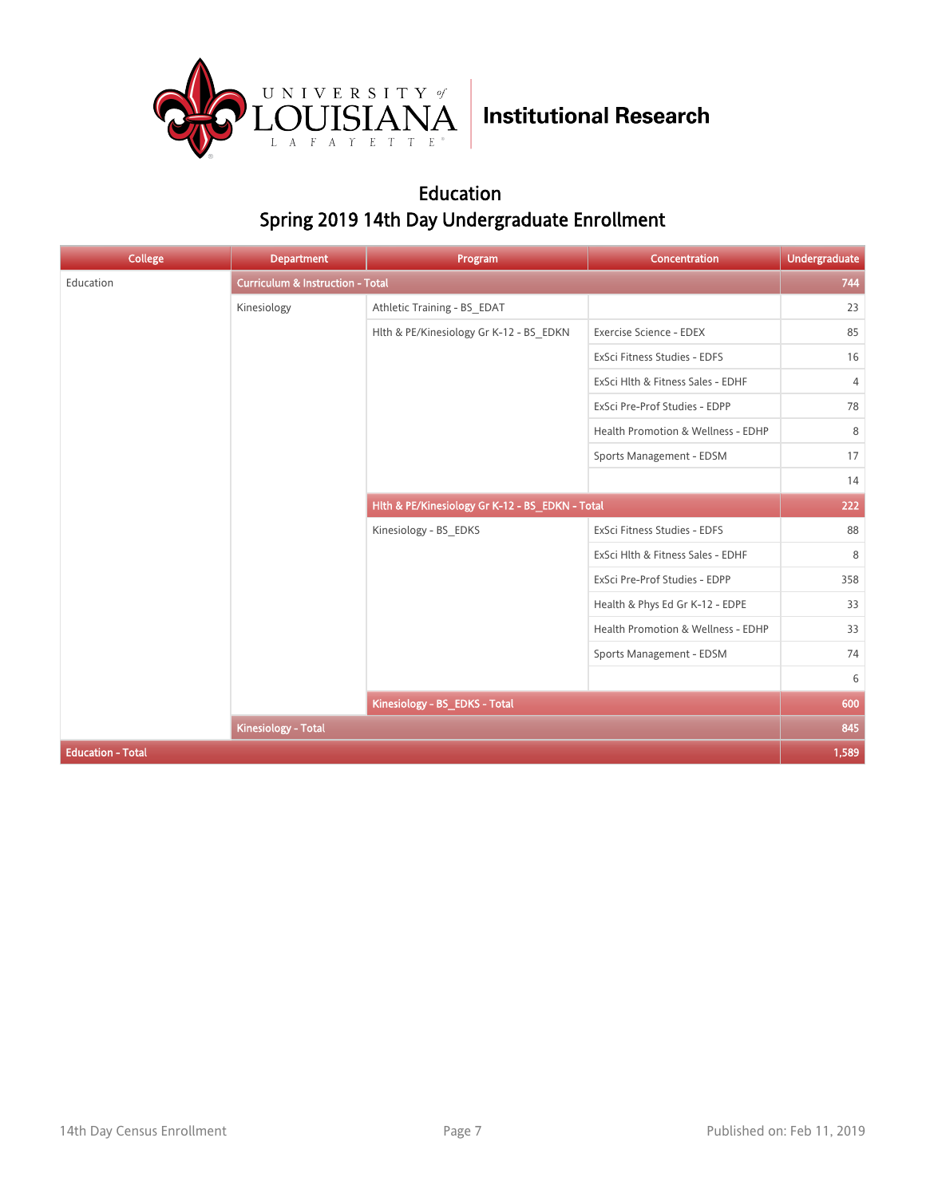

### Education Spring 2019 14th Day Undergraduate Enrollment

| <b>College</b>           | <b>Department</b>                           | Program                                         | Concentration                      | <b>Undergraduate</b> |
|--------------------------|---------------------------------------------|-------------------------------------------------|------------------------------------|----------------------|
| Education                | <b>Curriculum &amp; Instruction - Total</b> |                                                 |                                    | 744                  |
|                          | Kinesiology                                 | Athletic Training - BS_EDAT                     |                                    | 23                   |
|                          |                                             | Hlth & PE/Kinesiology Gr K-12 - BS EDKN         | Exercise Science - EDEX            | 85                   |
|                          |                                             |                                                 | ExSci Fitness Studies - EDFS       | 16                   |
|                          |                                             |                                                 | ExSci Hlth & Fitness Sales - EDHF  | $\overline{4}$       |
|                          |                                             |                                                 | ExSci Pre-Prof Studies - EDPP      | 78                   |
|                          |                                             |                                                 | Health Promotion & Wellness - EDHP | 8                    |
|                          |                                             |                                                 | Sports Management - EDSM           | 17                   |
|                          |                                             |                                                 |                                    | 14                   |
|                          |                                             | Hlth & PE/Kinesiology Gr K-12 - BS_EDKN - Total |                                    | 222                  |
|                          |                                             | Kinesiology - BS_EDKS                           | ExSci Fitness Studies - EDFS       | 88                   |
|                          |                                             |                                                 | ExSci Hlth & Fitness Sales - EDHF  | 8                    |
|                          |                                             |                                                 | ExSci Pre-Prof Studies - EDPP      | 358                  |
|                          |                                             |                                                 | Health & Phys Ed Gr K-12 - EDPE    | 33                   |
|                          |                                             |                                                 | Health Promotion & Wellness - EDHP | 33                   |
|                          |                                             |                                                 | Sports Management - EDSM           | 74                   |
|                          |                                             |                                                 |                                    | 6                    |
|                          |                                             | Kinesiology - BS_EDKS - Total                   |                                    | 600                  |
|                          | <b>Kinesiology - Total</b>                  |                                                 |                                    | 845                  |
| <b>Education - Total</b> |                                             |                                                 |                                    | 1,589                |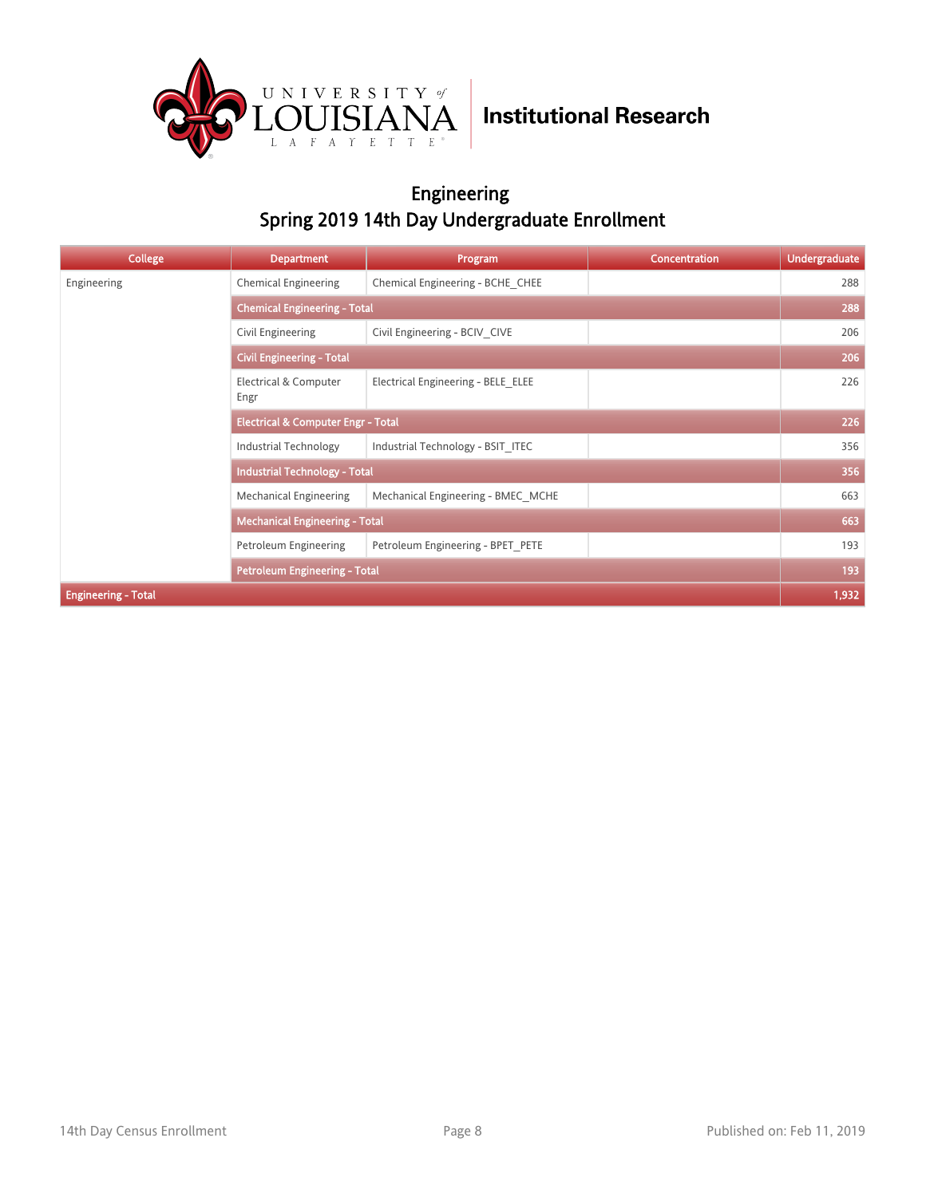

### Engineering Spring 2019 14th Day Undergraduate Enrollment

| <b>College</b>             | <b>Department</b>                             | Program                            | <b>Concentration</b> | <b>Undergraduate</b> |
|----------------------------|-----------------------------------------------|------------------------------------|----------------------|----------------------|
| Engineering                | <b>Chemical Engineering</b>                   | Chemical Engineering - BCHE CHEE   |                      | 288                  |
|                            | <b>Chemical Engineering - Total</b>           |                                    |                      |                      |
|                            | Civil Engineering                             | Civil Engineering - BCIV CIVE      |                      | 206                  |
|                            | <b>Civil Engineering - Total</b>              |                                    |                      | 206                  |
|                            | Electrical & Computer<br>Engr                 | Electrical Engineering - BELE ELEE |                      | 226                  |
|                            | <b>Electrical &amp; Computer Engr - Total</b> |                                    |                      | 226                  |
|                            | Industrial Technology                         | Industrial Technology - BSIT ITEC  |                      | 356                  |
|                            | <b>Industrial Technology - Total</b>          |                                    |                      | 356                  |
|                            | <b>Mechanical Engineering</b>                 | Mechanical Engineering - BMEC MCHE |                      | 663                  |
|                            | <b>Mechanical Engineering - Total</b>         |                                    |                      | 663                  |
|                            | Petroleum Engineering                         | Petroleum Engineering - BPET PETE  |                      | 193                  |
|                            | Petroleum Engineering - Total                 |                                    |                      | 193                  |
| <b>Engineering - Total</b> |                                               |                                    |                      | 1,932                |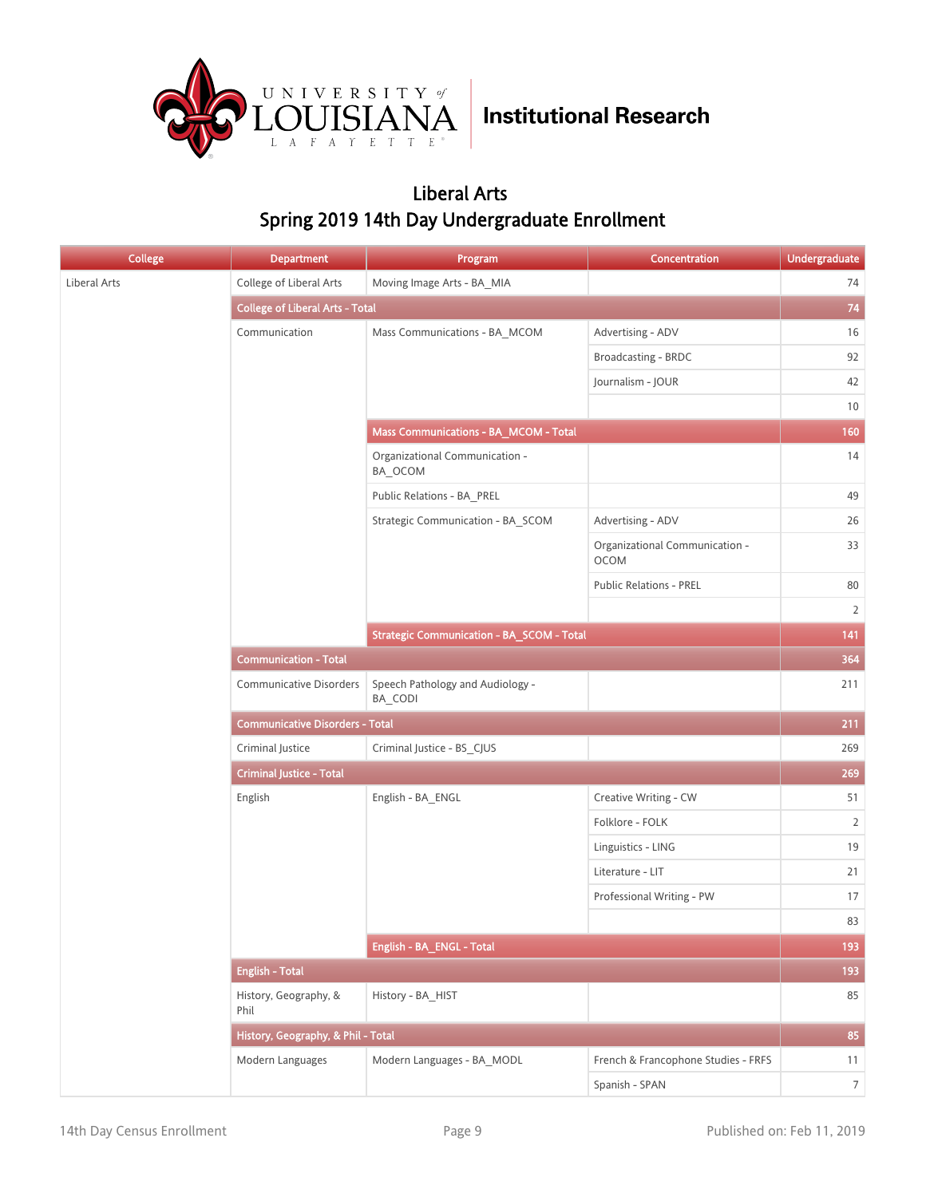

### Liberal Arts Spring 2019 14th Day Undergraduate Enrollment

| <b>College</b> | <b>Department</b>                      | Program                                     | Concentration                          | <b>Undergraduate</b> |
|----------------|----------------------------------------|---------------------------------------------|----------------------------------------|----------------------|
| Liberal Arts   | College of Liberal Arts                | Moving Image Arts - BA MIA                  |                                        | 74                   |
|                | <b>College of Liberal Arts - Total</b> |                                             |                                        | 74                   |
|                | Communication                          | Mass Communications - BA_MCOM               | Advertising - ADV                      | 16                   |
|                |                                        |                                             | <b>Broadcasting - BRDC</b>             | 92                   |
|                |                                        |                                             | Journalism - JOUR                      | 42                   |
|                |                                        |                                             |                                        | $10\,$               |
|                |                                        | Mass Communications - BA_MCOM - Total       |                                        | 160                  |
|                |                                        | Organizational Communication -<br>BA_OCOM   |                                        | 14                   |
|                |                                        | Public Relations - BA_PREL                  |                                        | 49                   |
|                |                                        | Strategic Communication - BA_SCOM           | Advertising - ADV                      | $26\,$               |
|                |                                        |                                             | Organizational Communication -<br>OCOM | 33                   |
|                |                                        |                                             | <b>Public Relations - PREL</b>         | 80                   |
|                |                                        |                                             |                                        | $\overline{2}$       |
|                |                                        | Strategic Communication - BA_SCOM - Total   |                                        | 141                  |
|                | <b>Communication - Total</b>           |                                             |                                        |                      |
|                | <b>Communicative Disorders</b>         | Speech Pathology and Audiology -<br>BA CODI |                                        | 211                  |
|                | <b>Communicative Disorders - Total</b> |                                             |                                        | 211                  |
|                | Criminal Justice                       | Criminal Justice - BS_CJUS                  |                                        | 269                  |
|                | <b>Criminal Justice - Total</b>        |                                             |                                        | 269                  |
|                | English                                | English - BA_ENGL                           | Creative Writing - CW                  | 51                   |
|                |                                        |                                             | Folklore - FOLK                        | $\overline{2}$       |
|                |                                        |                                             | Linguistics - LING                     | $19$                 |
|                |                                        |                                             | Literature - LIT                       | 21                   |
|                |                                        |                                             | Professional Writing - PW              | $17\,$               |
|                |                                        |                                             |                                        | 83                   |
|                |                                        | English - BA_ENGL - Total                   |                                        | 193                  |
|                | <b>English - Total</b>                 |                                             |                                        | 193                  |
|                | History, Geography, &<br>Phil          | History - BA_HIST                           |                                        | 85                   |
|                | History, Geography, & Phil - Total     |                                             |                                        | 85                   |
|                | Modern Languages                       | Modern Languages - BA_MODL                  | French & Francophone Studies - FRFS    | 11                   |
|                |                                        |                                             | Spanish - SPAN                         | $\,7$                |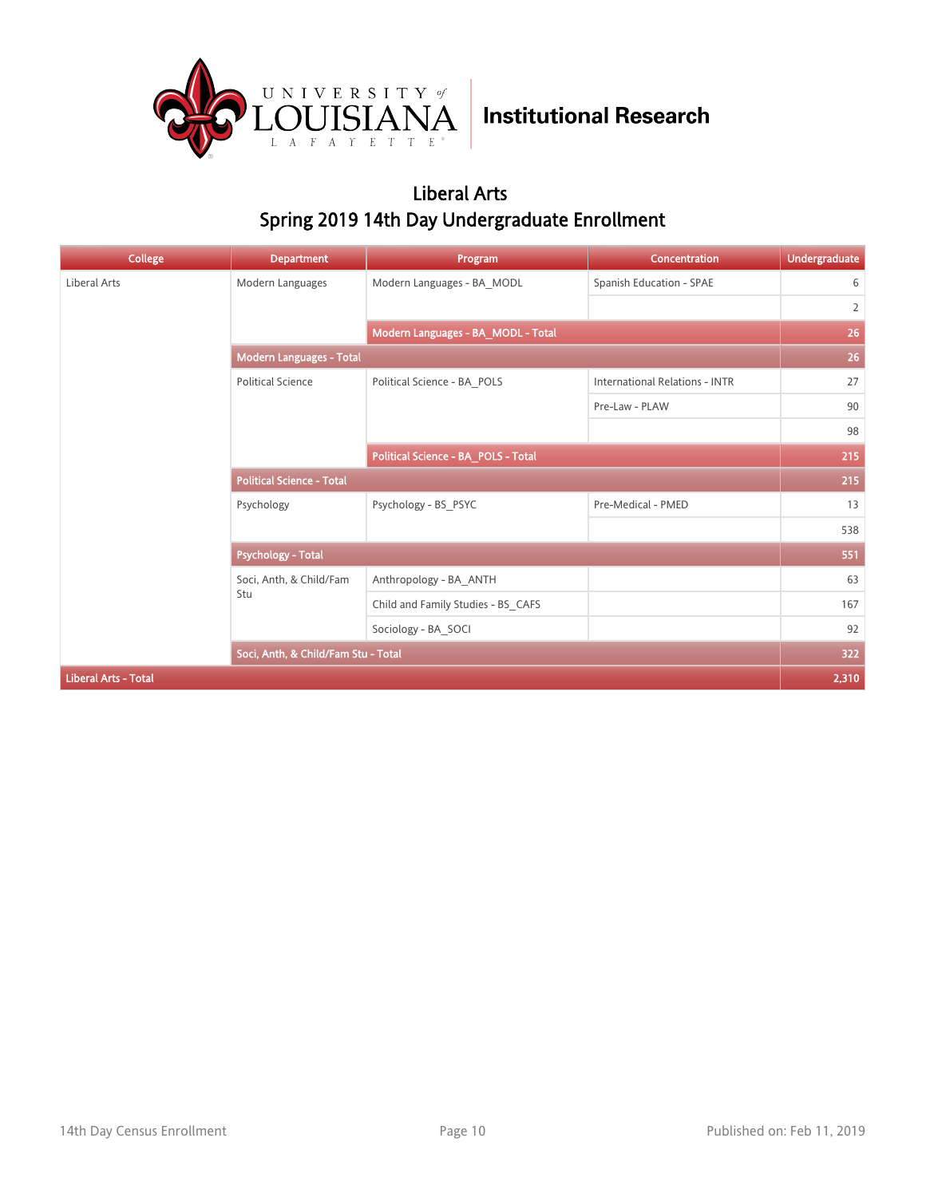

### Liberal Arts Spring 2019 14th Day Undergraduate Enrollment

| <b>College</b>              | <b>Department</b>                   | Program                             | Concentration                         | <b>Undergraduate</b> |
|-----------------------------|-------------------------------------|-------------------------------------|---------------------------------------|----------------------|
| Liberal Arts                | Modern Languages                    | Modern Languages - BA MODL          | Spanish Education - SPAE              | 6                    |
|                             |                                     |                                     |                                       | $\overline{2}$       |
|                             |                                     | Modern Languages - BA_MODL - Total  |                                       | 26                   |
|                             | Modern Languages - Total            |                                     |                                       | 26                   |
|                             | <b>Political Science</b>            | Political Science - BA POLS         | <b>International Relations - INTR</b> | 27                   |
|                             |                                     |                                     | Pre-Law - PLAW                        | 90                   |
|                             |                                     |                                     |                                       | 98                   |
|                             |                                     | Political Science - BA_POLS - Total |                                       | 215                  |
|                             | <b>Political Science - Total</b>    |                                     |                                       | 215                  |
|                             | Psychology                          | Psychology - BS_PSYC                | Pre-Medical - PMED                    | 13                   |
|                             |                                     |                                     |                                       | 538                  |
|                             | <b>Psychology - Total</b>           |                                     |                                       | 551                  |
|                             | Soci, Anth, & Child/Fam             | Anthropology - BA ANTH              |                                       | 63                   |
|                             | Stu                                 | Child and Family Studies - BS_CAFS  |                                       | 167                  |
|                             |                                     | Sociology - BA_SOCI                 |                                       | 92                   |
|                             | Soci, Anth, & Child/Fam Stu - Total |                                     |                                       | 322                  |
| <b>Liberal Arts - Total</b> |                                     |                                     |                                       | 2,310                |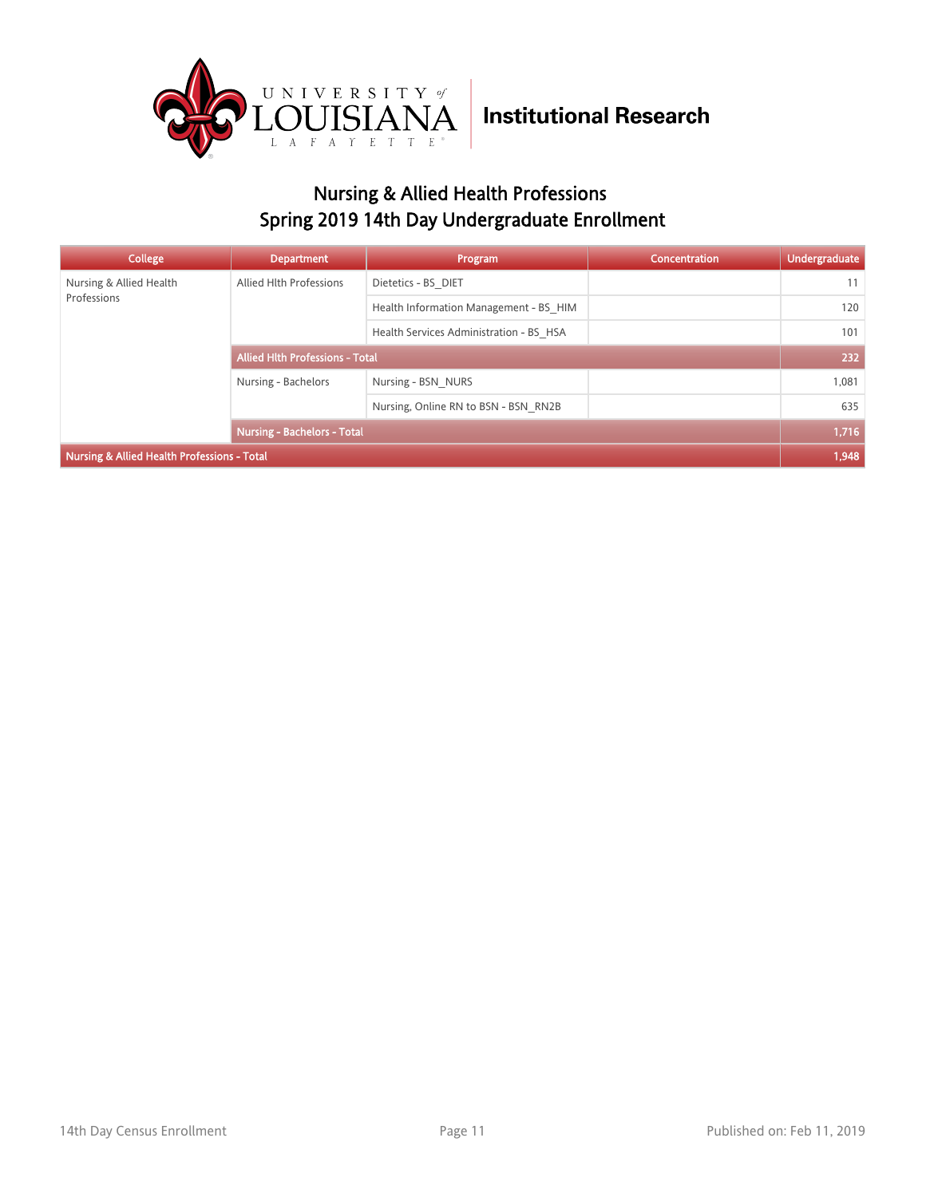

### Nursing & Allied Health Professions Spring 2019 14th Day Undergraduate Enrollment

| College                                                | <b>Department</b>                      | Program                                 | <b>Concentration</b> | <b>Undergraduate</b> |
|--------------------------------------------------------|----------------------------------------|-----------------------------------------|----------------------|----------------------|
| Nursing & Allied Health<br>Professions                 | Allied Hlth Professions                | Dietetics - BS DIET                     |                      | 11                   |
|                                                        |                                        | Health Information Management - BS HIM  |                      | 120                  |
|                                                        |                                        | Health Services Administration - BS HSA |                      | 101                  |
|                                                        | <b>Allied Hith Professions - Total</b> |                                         |                      | 232                  |
|                                                        | Nursing - Bachelors                    | Nursing - BSN NURS                      |                      | 1,081                |
|                                                        |                                        | Nursing, Online RN to BSN - BSN RN2B    |                      | 635                  |
|                                                        | <b>Nursing - Bachelors - Total</b>     |                                         |                      | 1,716                |
| <b>Nursing &amp; Allied Health Professions - Total</b> |                                        |                                         |                      | 1,948                |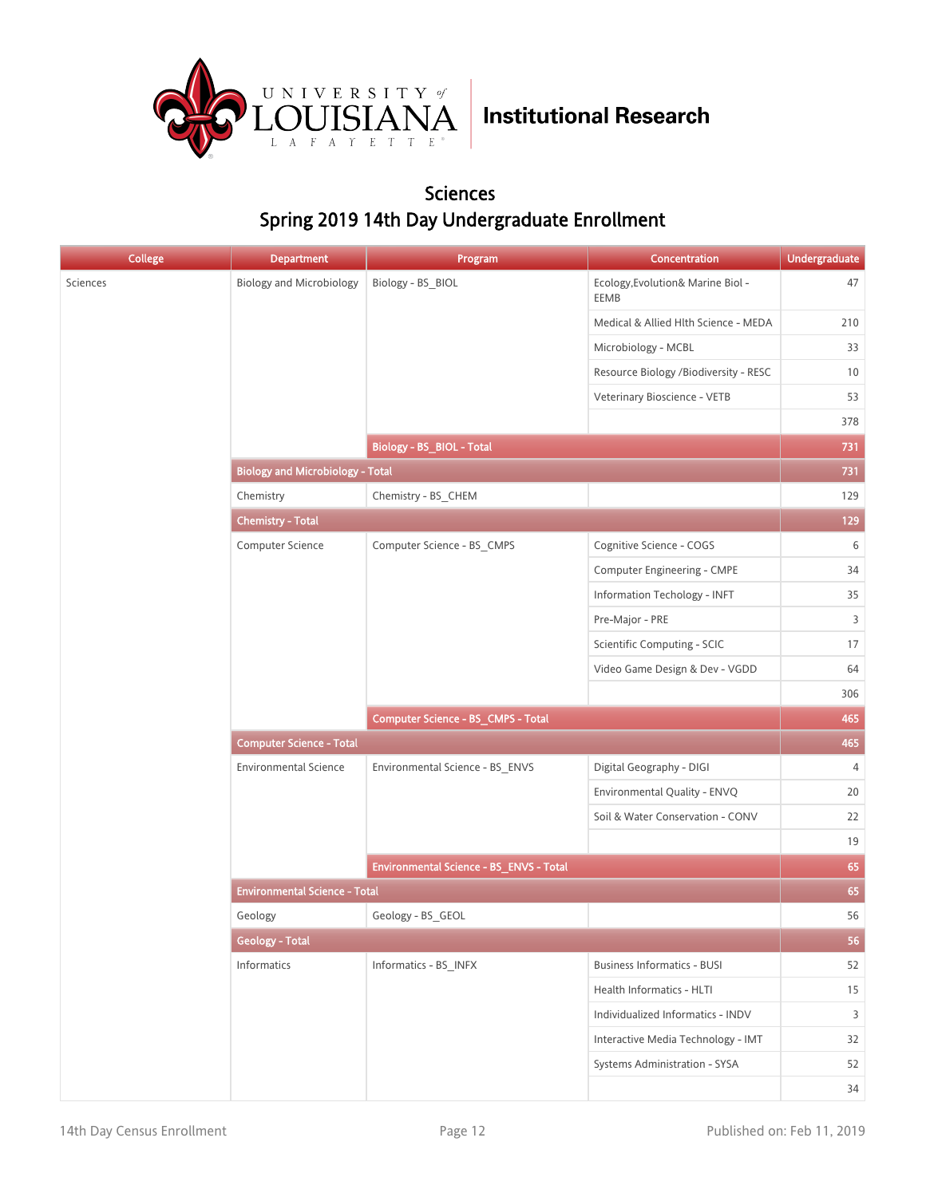

#### Sciences Spring 2019 14th Day Undergraduate Enrollment

| <b>College</b> | <b>Department</b>                       | Program                                 | Concentration                             | <b>Undergraduate</b> |
|----------------|-----------------------------------------|-----------------------------------------|-------------------------------------------|----------------------|
| Sciences       | <b>Biology and Microbiology</b>         | Biology - BS_BIOL                       | Ecology, Evolution& Marine Biol -<br>EEMB | 47                   |
|                |                                         |                                         | Medical & Allied Hlth Science - MEDA      | 210                  |
|                |                                         |                                         | Microbiology - MCBL                       | 33                   |
|                |                                         |                                         | Resource Biology /Biodiversity - RESC     | 10                   |
|                |                                         |                                         | Veterinary Bioscience - VETB              | 53                   |
|                |                                         |                                         |                                           | 378                  |
|                |                                         | Biology - BS_BIOL - Total               |                                           | 731                  |
|                | <b>Biology and Microbiology - Total</b> |                                         |                                           | 731                  |
|                | Chemistry                               | Chemistry - BS_CHEM                     |                                           | 129                  |
|                | <b>Chemistry - Total</b>                |                                         |                                           | 129                  |
|                | Computer Science                        | Computer Science - BS_CMPS              | Cognitive Science - COGS                  | 6                    |
|                |                                         |                                         | Computer Engineering - CMPE               | 34                   |
|                |                                         |                                         | Information Techology - INFT              | 35                   |
|                |                                         |                                         | Pre-Major - PRE                           | 3                    |
|                |                                         |                                         | Scientific Computing - SCIC               | 17                   |
|                |                                         |                                         | Video Game Design & Dev - VGDD            | 64                   |
|                |                                         |                                         |                                           | 306                  |
|                |                                         | Computer Science - BS_CMPS - Total      |                                           | 465                  |
|                | <b>Computer Science - Total</b>         |                                         |                                           |                      |
|                | <b>Environmental Science</b>            | Environmental Science - BS_ENVS         | Digital Geography - DIGI                  | $\overline{4}$       |
|                |                                         |                                         | Environmental Quality - ENVQ              | 20                   |
|                |                                         |                                         | Soil & Water Conservation - CONV          | 22                   |
|                |                                         |                                         |                                           | 19                   |
|                |                                         | Environmental Science - BS_ENVS - Total |                                           | 65                   |
|                | <b>Environmental Science - Total</b>    |                                         |                                           | 65                   |
|                | Geology                                 | Geology - BS GEOL                       |                                           | 56                   |
|                | <b>Geology - Total</b>                  |                                         |                                           | 56                   |
|                | <b>Informatics</b>                      | Informatics - BS_INFX                   | <b>Business Informatics - BUSI</b>        | 52                   |
|                |                                         |                                         | Health Informatics - HLTI                 | 15                   |
|                |                                         |                                         | Individualized Informatics - INDV         | 3                    |
|                |                                         |                                         | Interactive Media Technology - IMT        | 32                   |
|                |                                         |                                         | Systems Administration - SYSA             | 52                   |
|                |                                         |                                         |                                           | 34                   |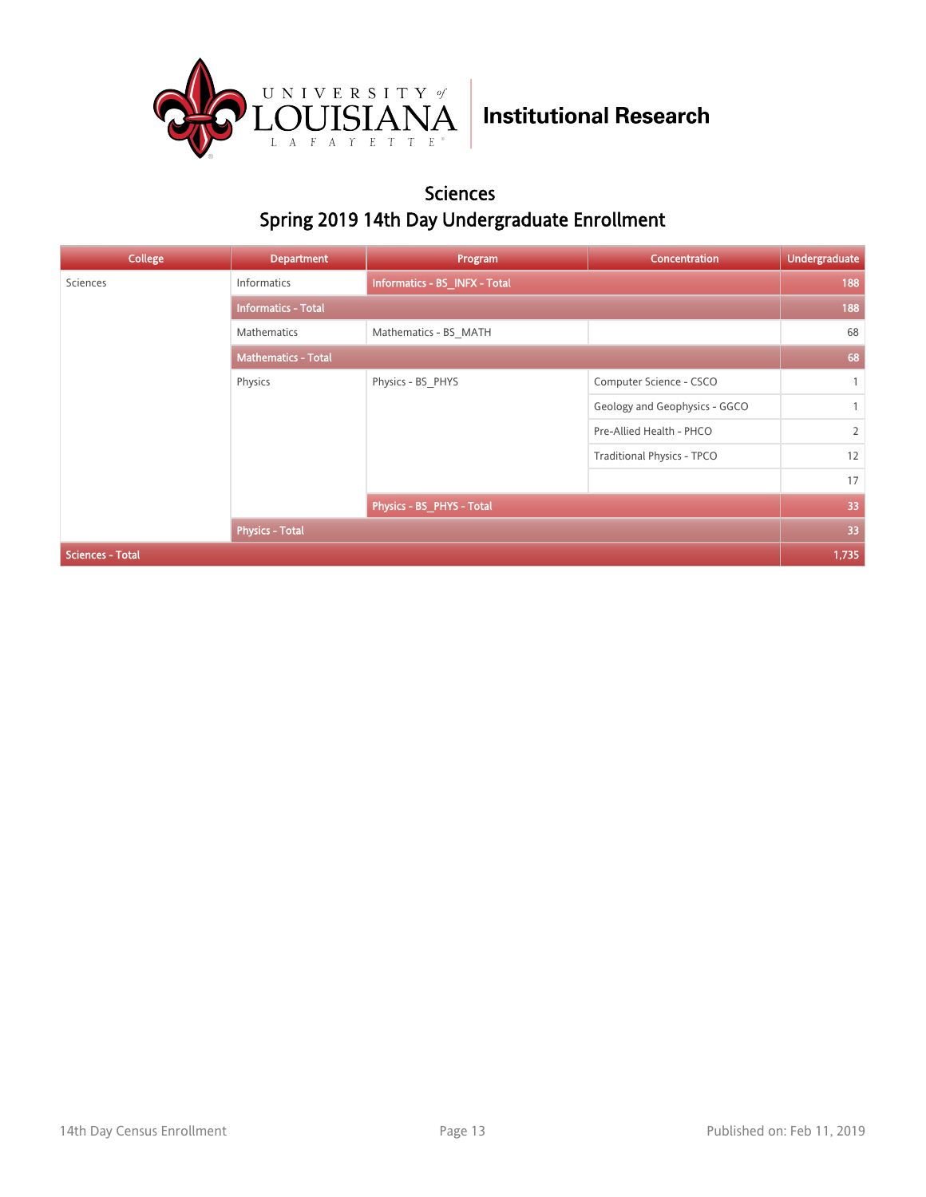

#### Sciences Spring 2019 14th Day Undergraduate Enrollment

| <b>College</b>          | <b>Department</b>          | Program                       | Concentration                     | <b>Undergraduate</b> |
|-------------------------|----------------------------|-------------------------------|-----------------------------------|----------------------|
| Sciences                | <b>Informatics</b>         | Informatics - BS_INFX - Total |                                   | 188                  |
|                         | <b>Informatics - Total</b> |                               |                                   |                      |
|                         | Mathematics                | Mathematics - BS MATH         |                                   | 68                   |
|                         | <b>Mathematics - Total</b> |                               |                                   |                      |
|                         | Physics                    | Physics - BS PHYS             | Computer Science - CSCO           | $\mathbf{1}$         |
|                         |                            |                               | Geology and Geophysics - GGCO     | $\mathbf{1}$         |
|                         |                            |                               | Pre-Allied Health - PHCO          | $\overline{2}$       |
|                         |                            |                               | <b>Traditional Physics - TPCO</b> | 12                   |
|                         |                            |                               |                                   | 17                   |
|                         |                            | Physics - BS_PHYS - Total     |                                   | 33                   |
|                         | <b>Physics - Total</b>     |                               |                                   | 33                   |
| <b>Sciences - Total</b> |                            |                               |                                   | 1,735                |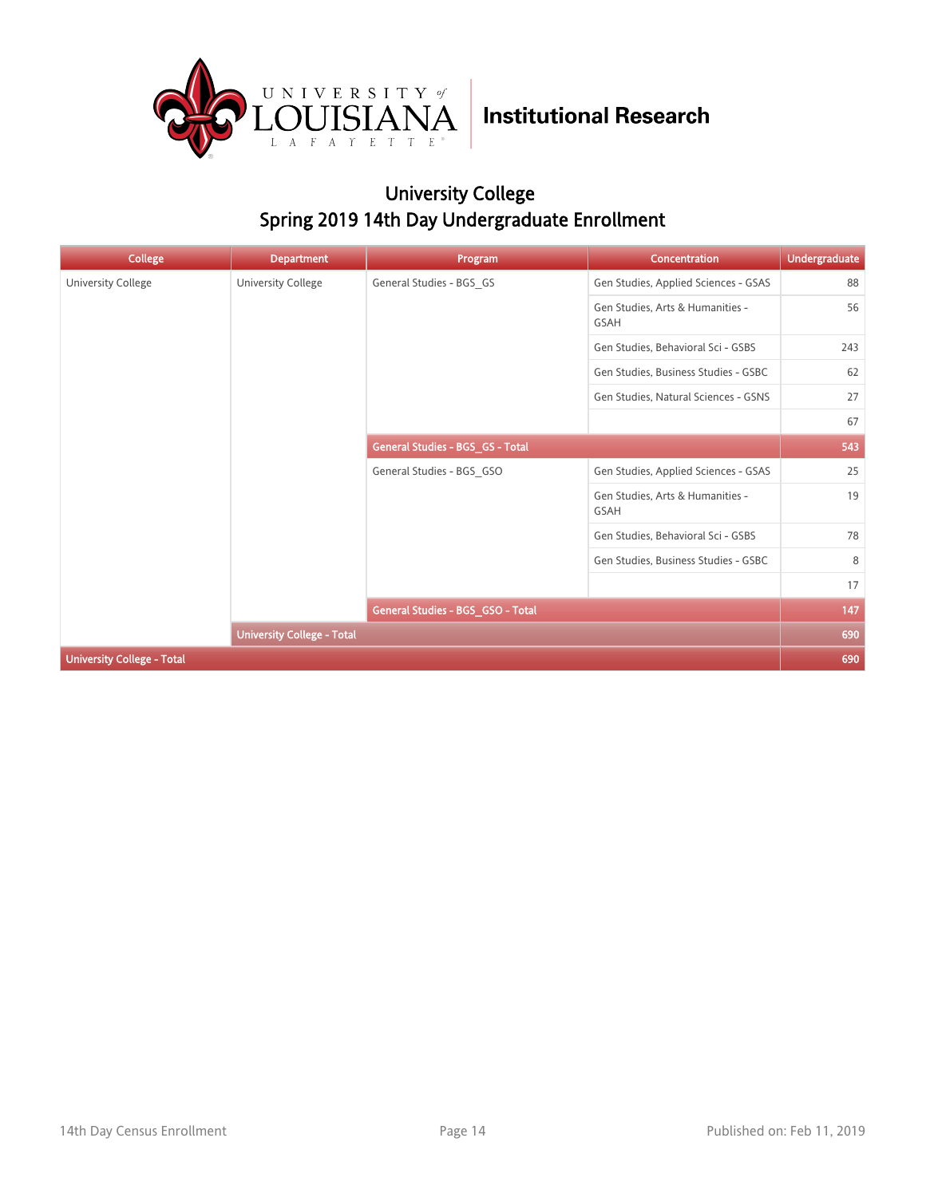

### University College Spring 2019 14th Day Undergraduate Enrollment

| <b>College</b>                    | <b>Department</b>                 | Program                           | Concentration                                   | <b>Undergraduate</b> |
|-----------------------------------|-----------------------------------|-----------------------------------|-------------------------------------------------|----------------------|
| University College                | <b>University College</b>         | General Studies - BGS_GS          | Gen Studies, Applied Sciences - GSAS            | 88                   |
|                                   |                                   |                                   | Gen Studies, Arts & Humanities -<br>GSAH        | 56                   |
|                                   |                                   |                                   | Gen Studies, Behavioral Sci - GSBS              | 243                  |
|                                   |                                   |                                   | Gen Studies, Business Studies - GSBC            | 62                   |
|                                   |                                   |                                   | Gen Studies, Natural Sciences - GSNS            | 27                   |
|                                   |                                   |                                   |                                                 | 67                   |
|                                   |                                   | General Studies - BGS_GS - Total  |                                                 | 543                  |
|                                   |                                   | General Studies - BGS GSO         | Gen Studies, Applied Sciences - GSAS            | 25                   |
|                                   |                                   |                                   | Gen Studies, Arts & Humanities -<br><b>GSAH</b> | 19                   |
|                                   |                                   |                                   | Gen Studies, Behavioral Sci - GSBS              | 78                   |
|                                   |                                   |                                   | Gen Studies, Business Studies - GSBC            | 8                    |
|                                   |                                   |                                   |                                                 | 17                   |
|                                   |                                   | General Studies - BGS GSO - Total |                                                 | 147                  |
|                                   | <b>University College - Total</b> |                                   |                                                 | 690                  |
| <b>University College - Total</b> |                                   |                                   |                                                 | 690                  |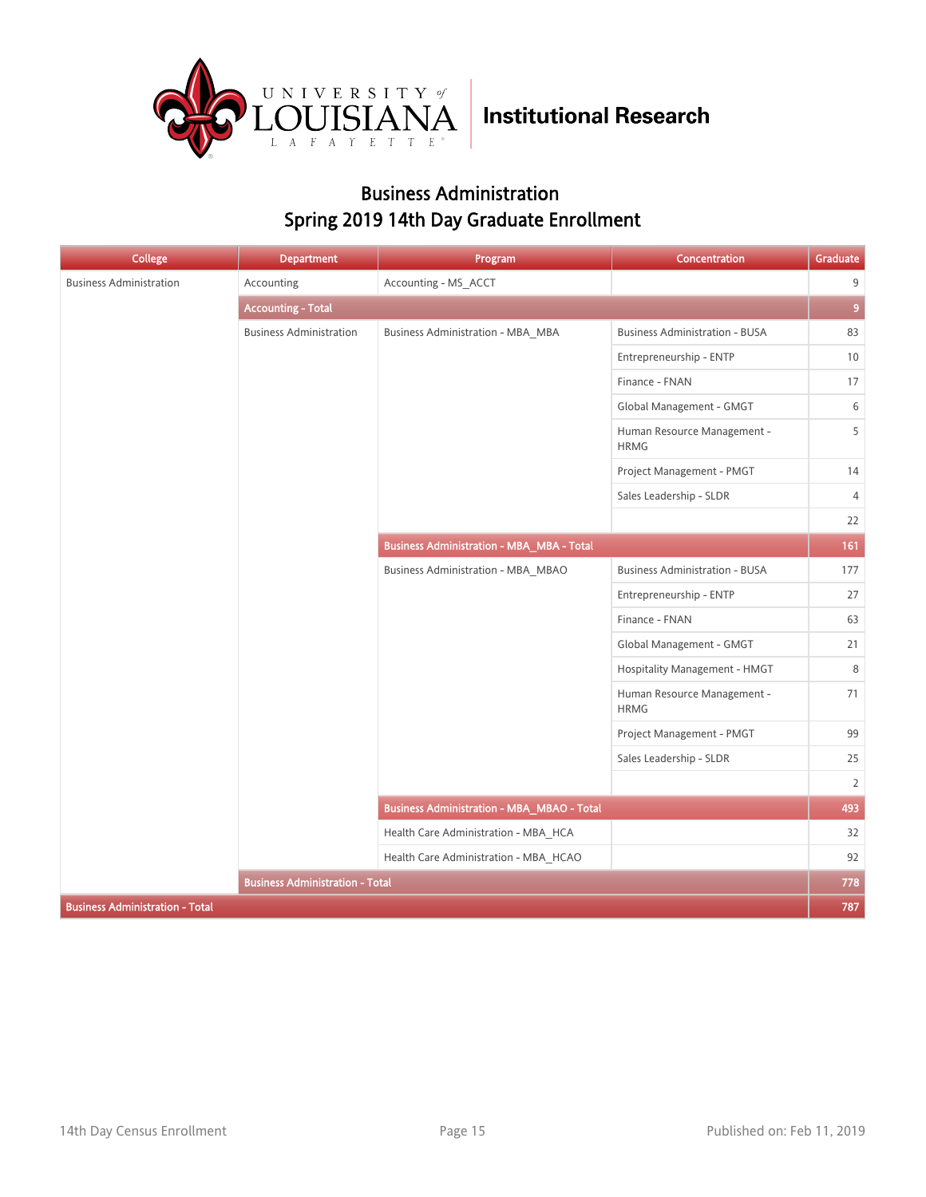

### Business Administration Spring 2019 14th Day Graduate Enrollment

| College                                | <b>Department</b>                      | Program                                           | Concentration                              | Graduate       |
|----------------------------------------|----------------------------------------|---------------------------------------------------|--------------------------------------------|----------------|
| <b>Business Administration</b>         | Accounting                             | Accounting - MS_ACCT                              |                                            | 9              |
|                                        | <b>Accounting - Total</b>              |                                                   |                                            | $\overline{9}$ |
|                                        | <b>Business Administration</b>         | <b>Business Administration - MBA_MBA</b>          | <b>Business Administration - BUSA</b>      | 83             |
|                                        |                                        |                                                   | Entrepreneurship - ENTP                    | 10             |
|                                        |                                        |                                                   | Finance - FNAN                             | 17             |
|                                        |                                        |                                                   | Global Management - GMGT                   | 6              |
|                                        |                                        |                                                   | Human Resource Management -<br><b>HRMG</b> | 5              |
|                                        |                                        |                                                   | Project Management - PMGT                  | 14             |
|                                        |                                        |                                                   | Sales Leadership - SLDR                    | $\overline{4}$ |
|                                        |                                        |                                                   |                                            | 22             |
|                                        |                                        | <b>Business Administration - MBA_MBA - Total</b>  |                                            | 161            |
|                                        |                                        | Business Administration - MBA_MBAO                | <b>Business Administration - BUSA</b>      | 177            |
|                                        |                                        |                                                   | Entrepreneurship - ENTP                    | 27             |
|                                        |                                        |                                                   | Finance - FNAN                             | 63             |
|                                        |                                        |                                                   | Global Management - GMGT                   | 21             |
|                                        |                                        |                                                   | Hospitality Management - HMGT              | 8              |
|                                        |                                        |                                                   | Human Resource Management -<br><b>HRMG</b> | 71             |
|                                        |                                        |                                                   | Project Management - PMGT                  | 99             |
|                                        |                                        |                                                   | Sales Leadership - SLDR                    | 25             |
|                                        |                                        |                                                   |                                            | $\overline{2}$ |
|                                        |                                        | <b>Business Administration - MBA_MBAO - Total</b> |                                            | 493            |
|                                        |                                        | Health Care Administration - MBA_HCA              |                                            | 32             |
|                                        |                                        | Health Care Administration - MBA_HCAO             |                                            | 92             |
|                                        | <b>Business Administration - Total</b> |                                                   |                                            | 778            |
| <b>Business Administration - Total</b> |                                        |                                                   |                                            | 787            |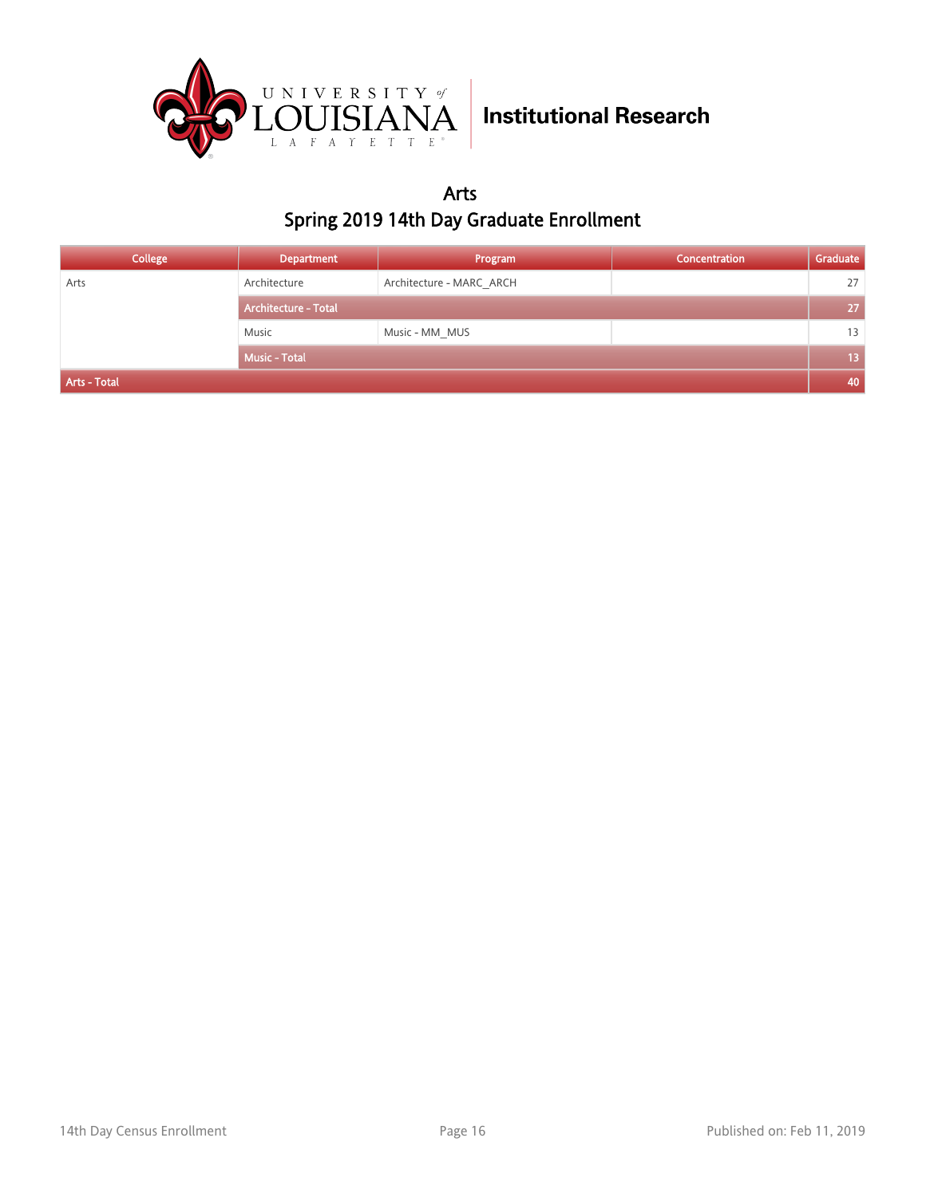

Arts Spring 2019 14th Day Graduate Enrollment

| College      | <b>Department</b>           | Program                  | Concentration | Graduate |
|--------------|-----------------------------|--------------------------|---------------|----------|
| Arts         | Architecture                | Architecture - MARC ARCH |               | 27       |
|              | <b>Architecture - Total</b> |                          |               | 27       |
|              | Music                       | Music - MM MUS           |               | 13       |
|              | <b>Music - Total</b>        |                          |               | /13 /    |
| Arts - Total |                             |                          |               | 40       |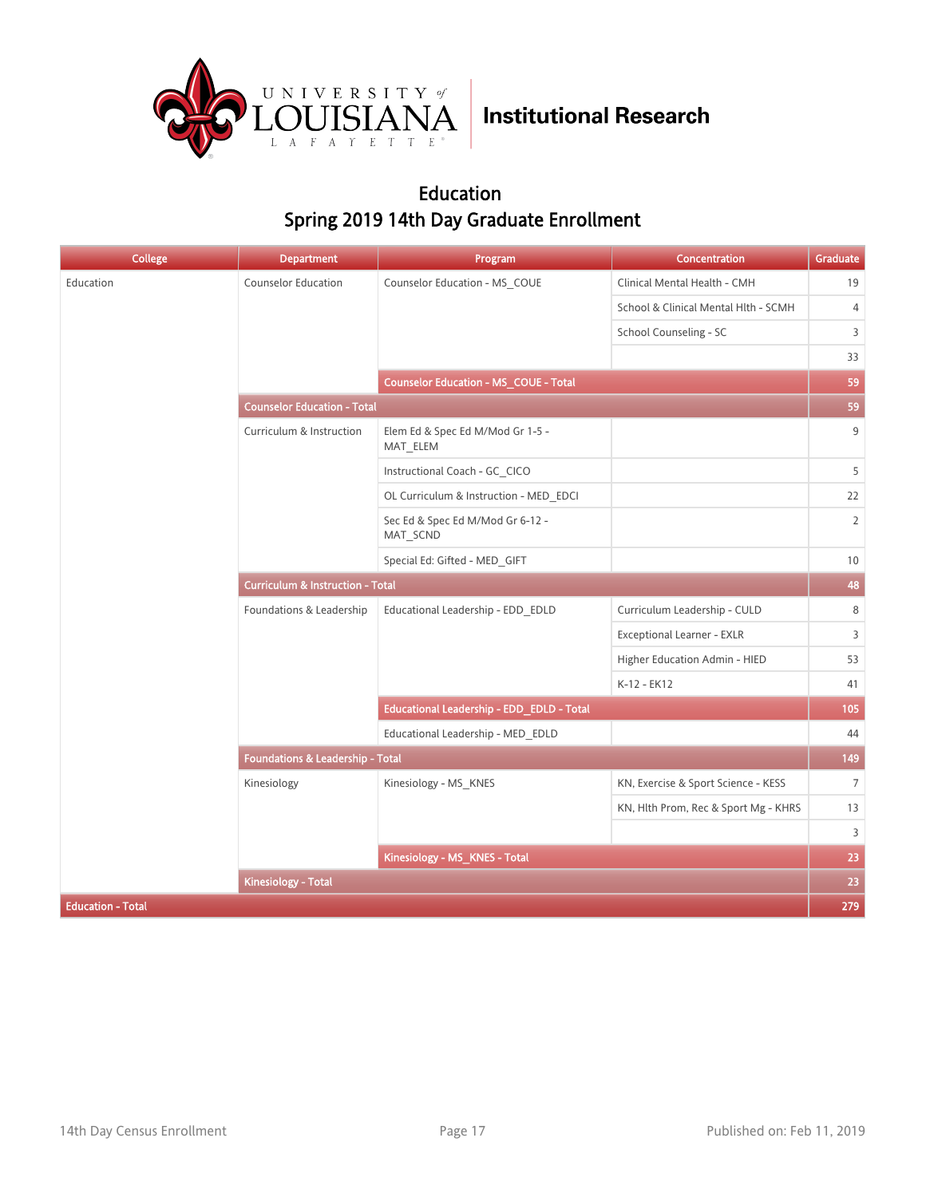

### Education Spring 2019 14th Day Graduate Enrollment

| College                  | <b>Department</b>                           | Program                                      | Concentration                        | Graduate       |  |
|--------------------------|---------------------------------------------|----------------------------------------------|--------------------------------------|----------------|--|
| Education                | <b>Counselor Education</b>                  | Counselor Education - MS_COUE                | Clinical Mental Health - CMH         | 19             |  |
|                          |                                             |                                              | School & Clinical Mental Hlth - SCMH | $\overline{4}$ |  |
|                          |                                             |                                              | School Counseling - SC               | 3              |  |
|                          |                                             |                                              |                                      | 33             |  |
|                          |                                             | <b>Counselor Education - MS_COUE - Total</b> |                                      | 59             |  |
|                          | <b>Counselor Education - Total</b>          |                                              |                                      |                |  |
|                          | Curriculum & Instruction                    | Elem Ed & Spec Ed M/Mod Gr 1-5 -<br>MAT_ELEM |                                      | 9              |  |
|                          |                                             | Instructional Coach - GC CICO                |                                      | 5              |  |
|                          |                                             | OL Curriculum & Instruction - MED EDCI       |                                      | 22             |  |
|                          |                                             | Sec Ed & Spec Ed M/Mod Gr 6-12 -<br>MAT_SCND |                                      | $\overline{2}$ |  |
|                          |                                             | Special Ed: Gifted - MED_GIFT                |                                      | 10             |  |
|                          | <b>Curriculum &amp; Instruction - Total</b> |                                              |                                      |                |  |
|                          | Foundations & Leadership                    | Educational Leadership - EDD_EDLD            | Curriculum Leadership - CULD         | 8              |  |
|                          |                                             |                                              | Exceptional Learner - EXLR           | 3              |  |
|                          |                                             |                                              | Higher Education Admin - HIED        | 53             |  |
|                          |                                             |                                              | K-12 - EK12                          | 41             |  |
|                          |                                             | Educational Leadership - EDD_EDLD - Total    |                                      | 105            |  |
|                          |                                             | Educational Leadership - MED EDLD            |                                      | 44             |  |
|                          | Foundations & Leadership - Total            |                                              |                                      | 149            |  |
|                          | Kinesiology                                 | Kinesiology - MS_KNES                        | KN, Exercise & Sport Science - KESS  | $7^{\circ}$    |  |
|                          |                                             |                                              | KN, Hlth Prom, Rec & Sport Mg - KHRS | 13             |  |
|                          |                                             |                                              |                                      | $\overline{3}$ |  |
|                          |                                             | Kinesiology - MS_KNES - Total                |                                      | 23             |  |
|                          | <b>Kinesiology - Total</b>                  |                                              |                                      | 23             |  |
| <b>Education - Total</b> |                                             |                                              |                                      | 279            |  |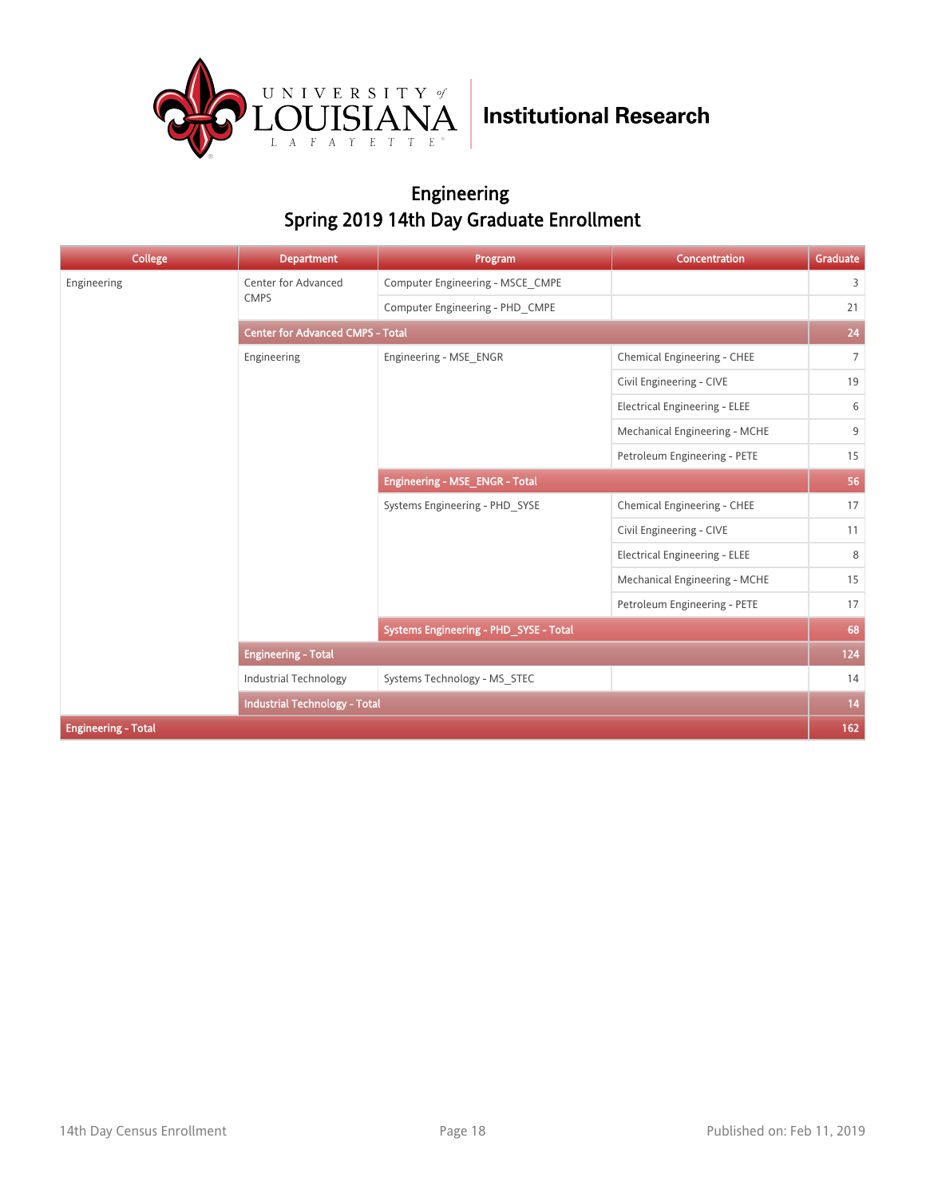

### Engineering Spring 2019 14th Day Graduate Enrollment

| <b>College</b>             | <b>Department</b>                       | Program                                | <b>Concentration</b>                 | Graduate        |
|----------------------------|-----------------------------------------|----------------------------------------|--------------------------------------|-----------------|
| Engineering                | Center for Advanced                     | Computer Engineering - MSCE CMPE       |                                      | $\overline{3}$  |
|                            | <b>CMPS</b>                             | Computer Engineering - PHD CMPE        |                                      | 21              |
|                            | <b>Center for Advanced CMPS - Total</b> |                                        |                                      | ${\bf 24}$      |
|                            | Engineering                             | Engineering - MSE ENGR                 | Chemical Engineering - CHEE          | $7\overline{ }$ |
|                            |                                         |                                        | Civil Engineering - CIVE             | 19              |
|                            |                                         |                                        | <b>Electrical Engineering - ELEE</b> | 6               |
|                            |                                         |                                        | Mechanical Engineering - MCHE        | 9               |
|                            |                                         |                                        | Petroleum Engineering - PETE         | 15              |
|                            |                                         | Engineering - MSE_ENGR - Total         |                                      | 56              |
|                            |                                         | Systems Engineering - PHD SYSE         | Chemical Engineering - CHEE          | 17              |
|                            |                                         |                                        | Civil Engineering - CIVE             | 11              |
|                            |                                         |                                        | <b>Electrical Engineering - ELEE</b> | 8               |
|                            |                                         |                                        | Mechanical Engineering - MCHE        | 15              |
|                            |                                         |                                        | Petroleum Engineering - PETE         | 17              |
|                            |                                         | Systems Engineering - PHD_SYSE - Total |                                      | 68              |
|                            | <b>Engineering - Total</b>              |                                        |                                      | 124             |
|                            | <b>Industrial Technology</b>            | Systems Technology - MS STEC           |                                      | 14              |
|                            | <b>Industrial Technology - Total</b>    |                                        |                                      | 14              |
| <b>Engineering - Total</b> |                                         |                                        |                                      | 162             |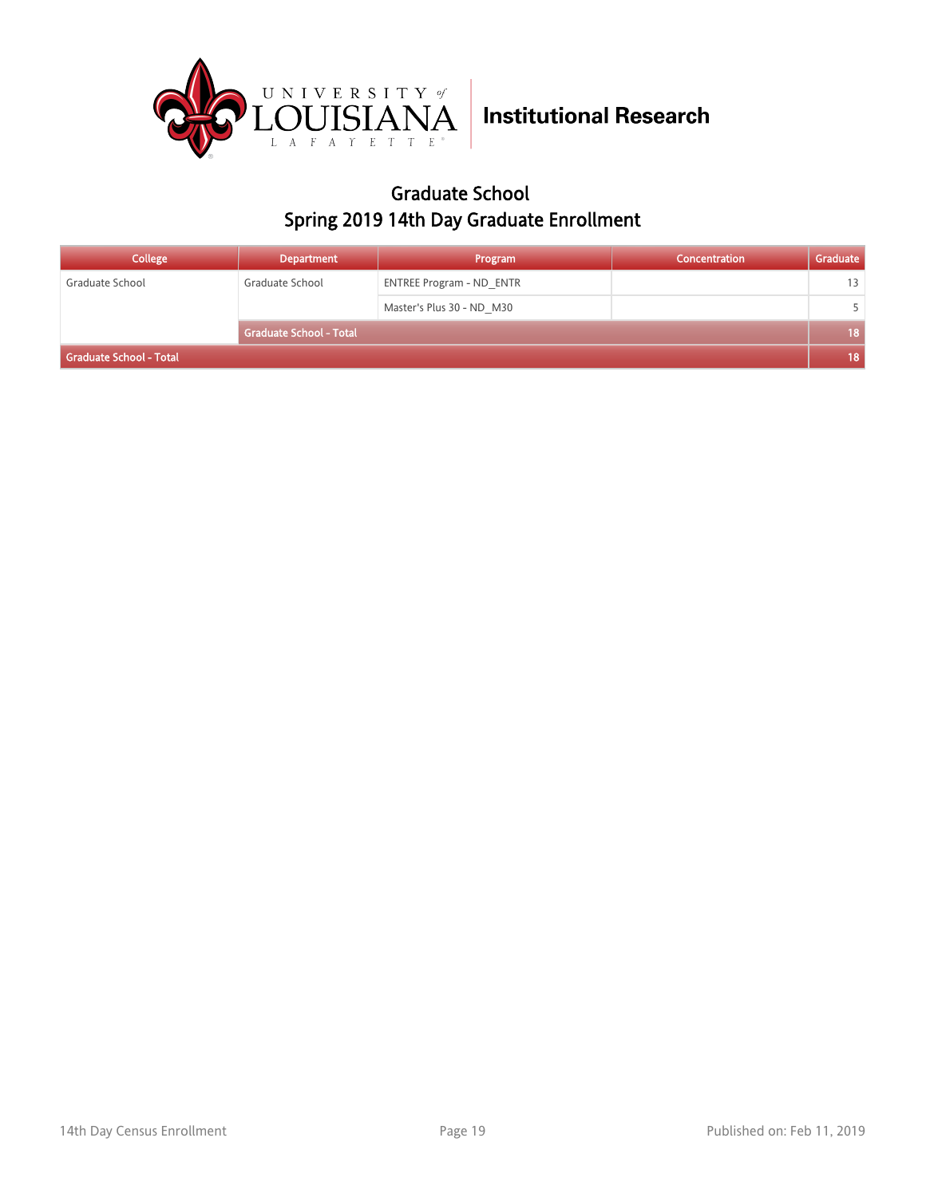

### Graduate School Spring 2019 14th Day Graduate Enrollment

| College                 | <b>Department</b>              | Program                         | Concentration | Graduate |
|-------------------------|--------------------------------|---------------------------------|---------------|----------|
| Graduate School         | Graduate School                | <b>ENTREE Program - ND ENTR</b> |               | 13       |
|                         |                                | Master's Plus 30 - ND M30       |               |          |
|                         | <b>Graduate School - Total</b> |                                 |               | 18       |
| Graduate School - Total |                                |                                 |               |          |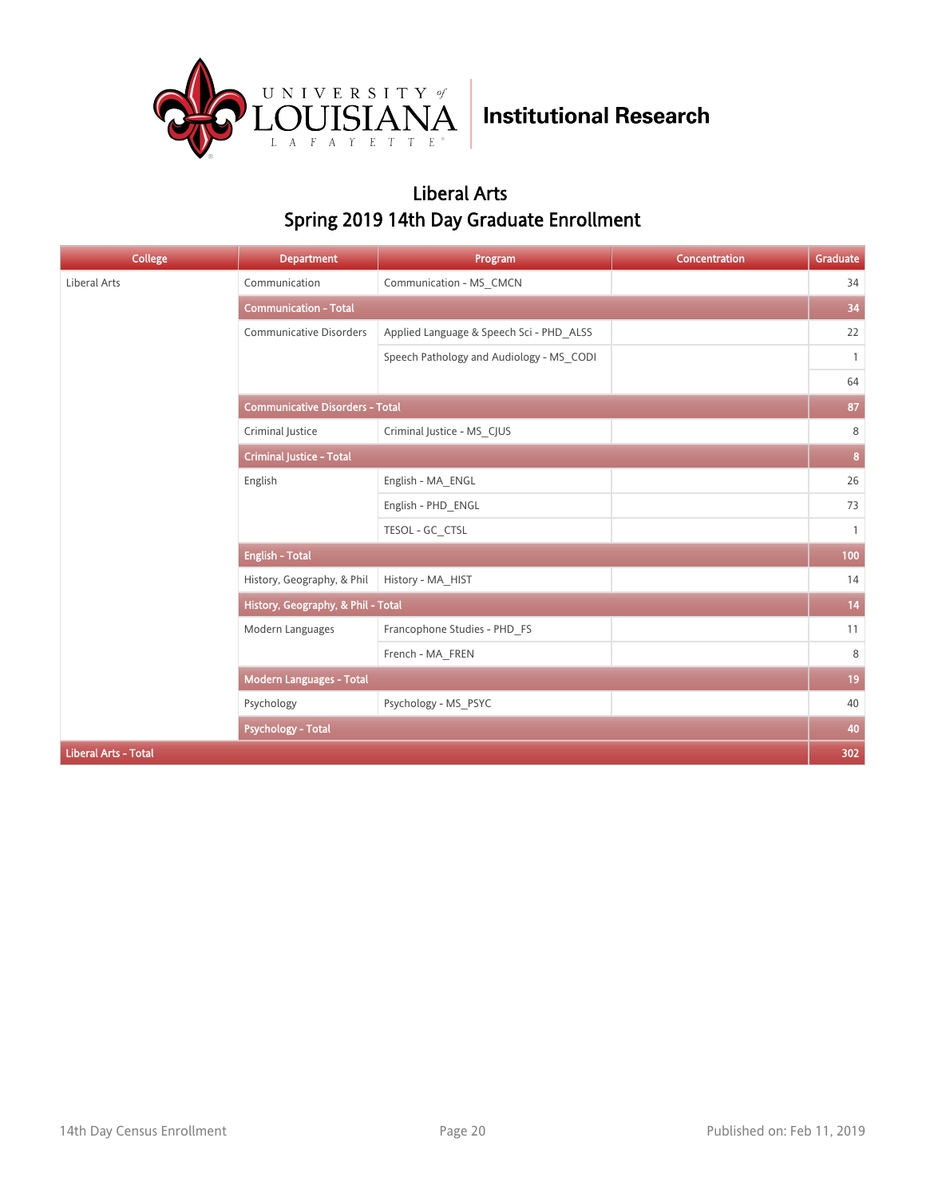

### Liberal Arts Spring 2019 14th Day Graduate Enrollment

| College                     | <b>Department</b>                      | Program                                  | Concentration | Graduate     |  |
|-----------------------------|----------------------------------------|------------------------------------------|---------------|--------------|--|
| Liberal Arts                | Communication                          | Communication - MS_CMCN                  |               | 34           |  |
|                             | <b>Communication - Total</b>           |                                          |               | 34           |  |
|                             | <b>Communicative Disorders</b>         | Applied Language & Speech Sci - PHD_ALSS |               | 22           |  |
|                             |                                        | Speech Pathology and Audiology - MS CODI |               | $\mathbf{1}$ |  |
|                             |                                        |                                          |               | 64           |  |
|                             | <b>Communicative Disorders - Total</b> |                                          |               | 87           |  |
|                             | Criminal Justice                       | Criminal Justice - MS CJUS               |               | 8            |  |
|                             | <b>Criminal Justice - Total</b>        |                                          |               |              |  |
|                             | English                                | English - MA_ENGL                        |               | 26           |  |
|                             |                                        | English - PHD ENGL                       |               | 73           |  |
|                             |                                        | TESOL - GC CTSL                          |               | $\mathbf{1}$ |  |
|                             | <b>English - Total</b>                 |                                          |               |              |  |
|                             | History, Geography, & Phil             | History - MA_HIST                        |               | 14           |  |
|                             | History, Geography, & Phil - Total     |                                          |               |              |  |
|                             | Modern Languages                       | Francophone Studies - PHD_FS             |               | 11           |  |
|                             |                                        | French - MA FREN                         |               | 8            |  |
|                             | <b>Modern Languages - Total</b>        |                                          |               | 19           |  |
|                             | Psychology                             | Psychology - MS_PSYC                     |               | 40           |  |
|                             | <b>Psychology - Total</b>              |                                          |               |              |  |
| <b>Liberal Arts - Total</b> |                                        |                                          |               | 302          |  |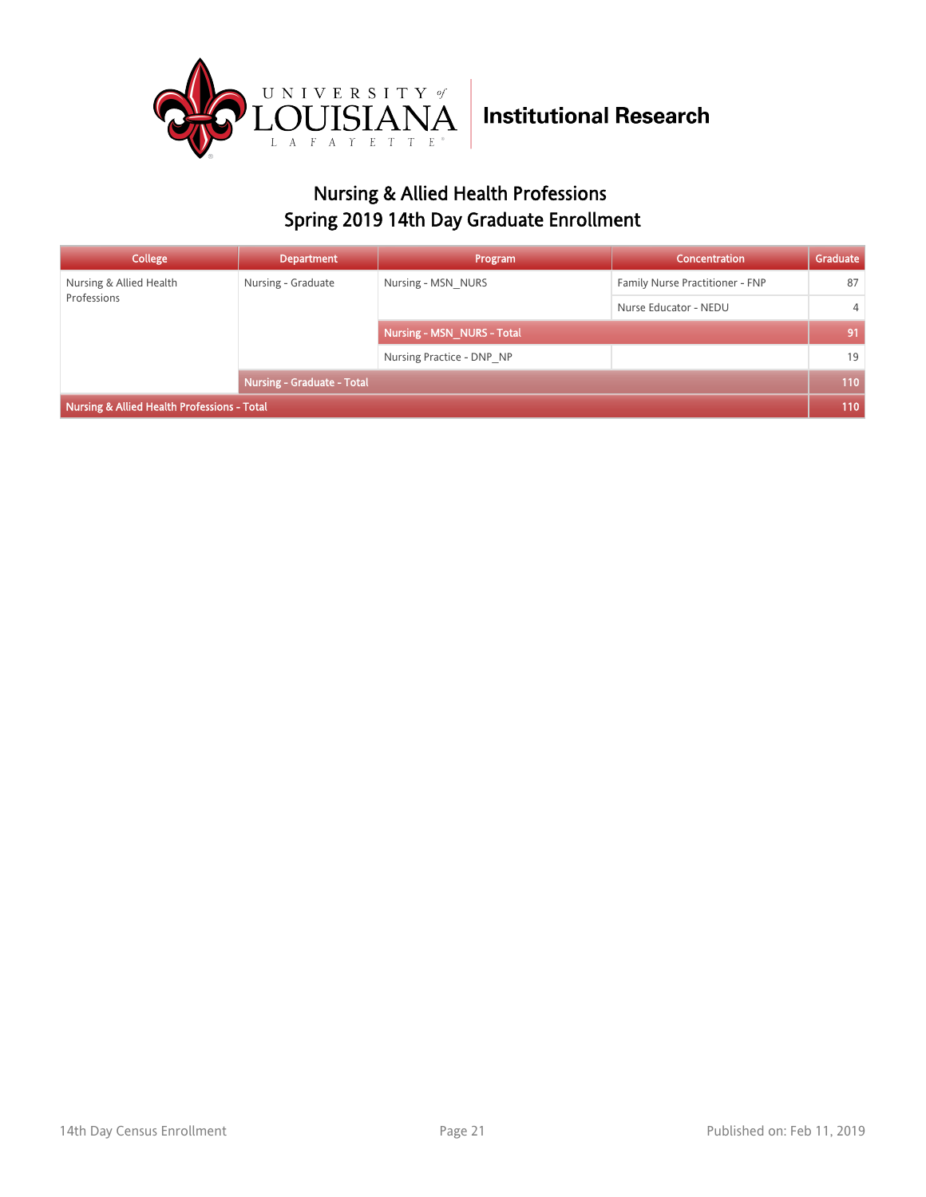

### Nursing & Allied Health Professions Spring 2019 14th Day Graduate Enrollment

| <b>College</b>                                         | <b>Department</b>                 | Program                    | <b>Concentration</b>            | Graduate       |
|--------------------------------------------------------|-----------------------------------|----------------------------|---------------------------------|----------------|
| Nursing & Allied Health<br>Professions                 | Nursing - Graduate                | Nursing - MSN NURS         | Family Nurse Practitioner - FNP | 87             |
|                                                        |                                   |                            | Nurse Educator - NEDU           | $\overline{4}$ |
|                                                        |                                   | Nursing - MSN NURS - Total |                                 | 91             |
|                                                        |                                   | Nursing Practice - DNP NP  |                                 | 19             |
|                                                        | <b>Nursing - Graduate - Total</b> |                            |                                 | 110            |
| <b>Nursing &amp; Allied Health Professions - Total</b> |                                   |                            |                                 |                |